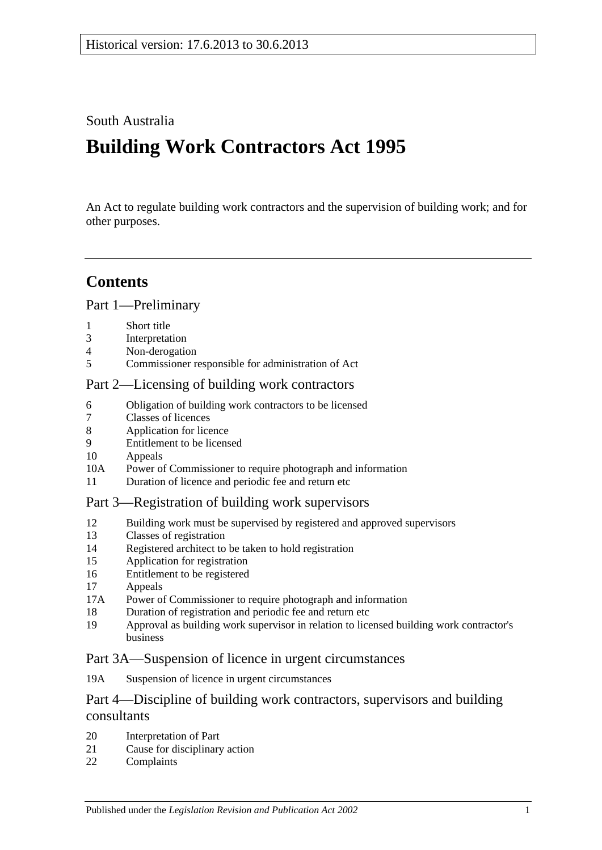## South Australia

# **Building Work Contractors Act 1995**

An Act to regulate building work contractors and the supervision of building work; and for other purposes.

## **Contents**

### [Part 1—Preliminary](#page-2-0)

- 1 [Short title](#page-2-1)
- 3 [Interpretation](#page-2-2)
- 4 [Non-derogation](#page-4-0)
- 5 [Commissioner responsible for administration of Act](#page-4-1)

#### [Part 2—Licensing of building work contractors](#page-4-2)

- 6 [Obligation of building work contractors to be licensed](#page-4-3)
- 7 [Classes of licences](#page-5-0)
- 8 [Application for licence](#page-5-1)
- 9 [Entitlement to be licensed](#page-6-0)
- 10 [Appeals](#page-7-0)
- 10A [Power of Commissioner to require photograph and information](#page-8-0)
- 11 [Duration of licence and periodic fee and return etc](#page-8-1)

#### [Part 3—Registration of building work supervisors](#page-9-0)

- 12 [Building work must be supervised by registered and approved supervisors](#page-9-1)
- 13 [Classes of registration](#page-9-2)
- 14 [Registered architect to be taken to hold registration](#page-10-0)
- 15 [Application for registration](#page-10-1)
- 16 [Entitlement to be registered](#page-10-2)
- 17 [Appeals](#page-11-0)
- 17A [Power of Commissioner to require photograph and information](#page-11-1)
- 18 [Duration of registration and periodic fee and return etc](#page-11-2)
- 19 [Approval as building work supervisor in relation to licensed building work contractor's](#page-12-0)  [business](#page-12-0)

#### [Part 3A—Suspension of licence in urgent circumstances](#page-13-0)

19A [Suspension of licence in urgent circumstances](#page-13-1)

### Part 4—Discipline of building work [contractors, supervisors and building](#page-14-0)  [consultants](#page-14-0)

- 20 [Interpretation of Part](#page-14-1)
- 21 [Cause for disciplinary action](#page-15-0)
- 22 [Complaints](#page-16-0)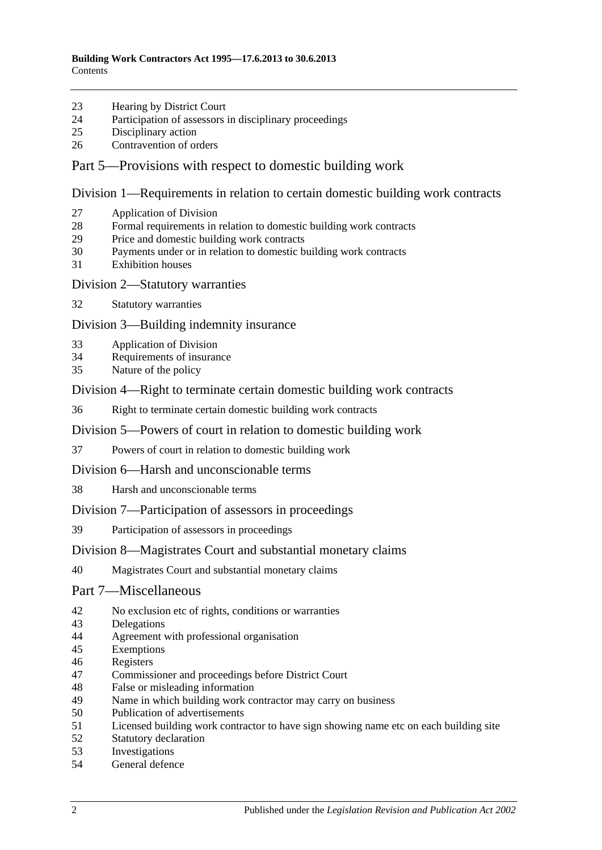- [Hearing by District Court](#page-16-1)
- [Participation of assessors in disciplinary proceedings](#page-16-2)
- [Disciplinary action](#page-16-3)
- [Contravention of orders](#page-17-0)

#### [Part 5—Provisions with respect to domestic building work](#page-17-1)

[Division 1—Requirements in relation to certain domestic building work contracts](#page-17-2)

- [Application of Division](#page-17-3)
- [Formal requirements in relation to domestic building work contracts](#page-18-0)
- [Price and domestic building work contracts](#page-18-1)
- [Payments under or in relation to domestic building work contracts](#page-20-0)
- [Exhibition houses](#page-21-0)
- [Division 2—Statutory warranties](#page-21-1)
- [Statutory warranties](#page-21-2)

[Division 3—Building indemnity insurance](#page-22-0)

- [Application of Division](#page-22-1)
- [Requirements of insurance](#page-23-0)
- [Nature of the policy](#page-23-1)

[Division 4—Right to terminate certain domestic building work contracts](#page-23-2)

[Right to terminate certain domestic building work contracts](#page-23-3)

[Division 5—Powers of court in relation to domestic building work](#page-24-0)

- [Powers of court in relation to domestic building work](#page-24-1)
- [Division 6—Harsh and unconscionable terms](#page-25-0)
- [Harsh and unconscionable terms](#page-25-1)

[Division 7—Participation of assessors in proceedings](#page-26-0)

[Participation of assessors in proceedings](#page-26-1)

#### [Division 8—Magistrates Court and substantial monetary claims](#page-26-2)

[Magistrates Court and substantial monetary claims](#page-26-3)

#### [Part 7—Miscellaneous](#page-27-0)

- [No exclusion etc of rights, conditions or warranties](#page-27-1)
- [Delegations](#page-27-2)
- [Agreement with professional organisation](#page-27-3)
- [Exemptions](#page-28-0)
- [Registers](#page-28-1)
- [Commissioner and proceedings before District Court](#page-29-0)
- [False or misleading information](#page-29-1)
- [Name in which building work contractor may carry on business](#page-29-2)<br>50 Publication of advertisements
- [Publication of advertisements](#page-29-3)
- [Licensed building work contractor to have sign showing name etc on each building site](#page-30-0)
- [Statutory declaration](#page-30-1)
- [Investigations](#page-30-2)
- [General defence](#page-30-3)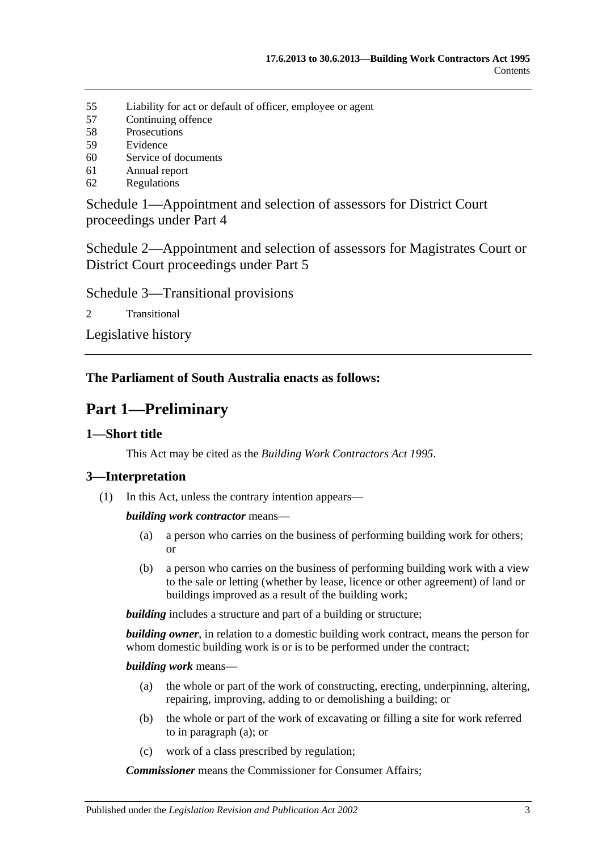- 55 [Liability for act or default of officer, employee or agent](#page-30-4)
- 57 [Continuing offence](#page-31-0)
- 58 [Prosecutions](#page-31-1)
- 59 [Evidence](#page-31-2)
- 60 [Service of documents](#page-32-0)
- 61 [Annual report](#page-32-1)
- 62 [Regulations](#page-32-2)

[Schedule 1—Appointment and selection of assessors for District Court](#page-33-0)  [proceedings under Part 4](#page-33-0)

[Schedule 2—Appointment and selection of assessors for Magistrates Court or](#page-34-0)  [District Court proceedings under Part](#page-34-0) 5

[Schedule 3—Transitional provisions](#page-34-1)

2 [Transitional](#page-34-2)

[Legislative history](#page-36-0)

### <span id="page-2-0"></span>**The Parliament of South Australia enacts as follows:**

## **Part 1—Preliminary**

#### <span id="page-2-1"></span>**1—Short title**

This Act may be cited as the *Building Work Contractors Act 1995*.

#### <span id="page-2-2"></span>**3—Interpretation**

(1) In this Act, unless the contrary intention appears—

*building work contractor* means—

- (a) a person who carries on the business of performing building work for others; or
- (b) a person who carries on the business of performing building work with a view to the sale or letting (whether by lease, licence or other agreement) of land or buildings improved as a result of the building work;

**building** includes a structure and part of a building or structure;

*building owner*, in relation to a domestic building work contract, means the person for whom domestic building work is or is to be performed under the contract;

#### <span id="page-2-3"></span>*building work* means—

- (a) the whole or part of the work of constructing, erecting, underpinning, altering, repairing, improving, adding to or demolishing a building; or
- (b) the whole or part of the work of excavating or filling a site for work referred to in [paragraph](#page-2-3) (a); or
- (c) work of a class prescribed by regulation;

*Commissioner* means the Commissioner for Consumer Affairs;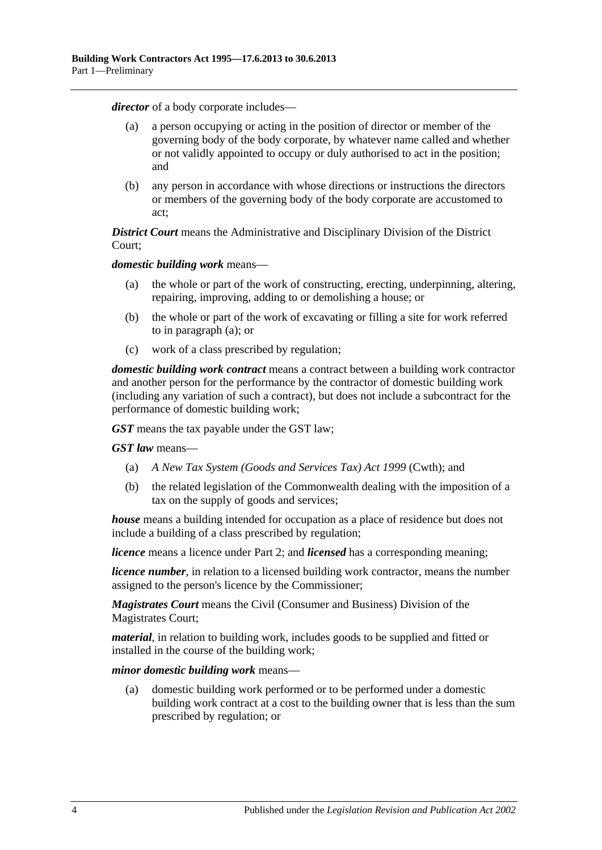*director* of a body corporate includes—

- (a) a person occupying or acting in the position of director or member of the governing body of the body corporate, by whatever name called and whether or not validly appointed to occupy or duly authorised to act in the position; and
- (b) any person in accordance with whose directions or instructions the directors or members of the governing body of the body corporate are accustomed to act;

*District Court* means the Administrative and Disciplinary Division of the District Court;

<span id="page-3-0"></span>*domestic building work* means—

- (a) the whole or part of the work of constructing, erecting, underpinning, altering, repairing, improving, adding to or demolishing a house; or
- (b) the whole or part of the work of excavating or filling a site for work referred to in [paragraph](#page-3-0) (a); or
- (c) work of a class prescribed by regulation;

*domestic building work contract* means a contract between a building work contractor and another person for the performance by the contractor of domestic building work (including any variation of such a contract), but does not include a subcontract for the performance of domestic building work;

*GST* means the tax payable under the GST law;

*GST law* means—

- (a) *A New Tax System (Goods and Services Tax) Act 1999* (Cwth); and
- (b) the related legislation of the Commonwealth dealing with the imposition of a tax on the supply of goods and services;

*house* means a building intended for occupation as a place of residence but does not include a building of a class prescribed by regulation;

*licence* means a licence under [Part 2;](#page-4-2) and *licensed* has a corresponding meaning;

*licence number*, in relation to a licensed building work contractor, means the number assigned to the person's licence by the Commissioner;

*Magistrates Court* means the Civil (Consumer and Business) Division of the Magistrates Court;

*material*, in relation to building work, includes goods to be supplied and fitted or installed in the course of the building work;

*minor domestic building work* means—

(a) domestic building work performed or to be performed under a domestic building work contract at a cost to the building owner that is less than the sum prescribed by regulation; or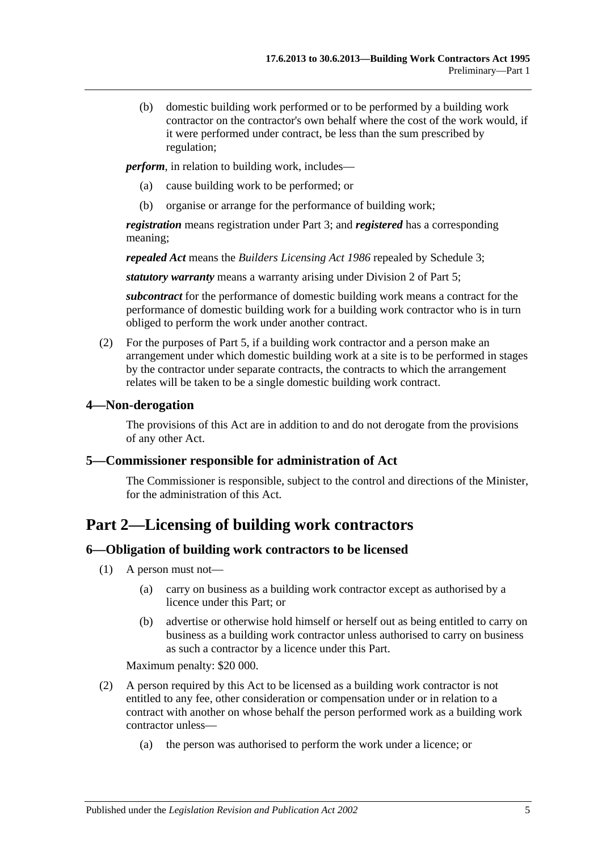(b) domestic building work performed or to be performed by a building work contractor on the contractor's own behalf where the cost of the work would, if it were performed under contract, be less than the sum prescribed by regulation;

*perform*, in relation to building work, includes—

- (a) cause building work to be performed; or
- (b) organise or arrange for the performance of building work;

*registration* means registration under [Part 3;](#page-9-0) and *registered* has a corresponding meaning;

*repealed Act* means the *[Builders Licensing Act](http://www.legislation.sa.gov.au/index.aspx?action=legref&type=act&legtitle=Builders%20Licensing%20Act%201986) 1986* repealed by [Schedule 3;](#page-34-1)

*statutory warranty* means a warranty arising under [Division 2](#page-21-1) of [Part 5;](#page-17-1)

*subcontract* for the performance of domestic building work means a contract for the performance of domestic building work for a building work contractor who is in turn obliged to perform the work under another contract.

(2) For the purposes of [Part 5,](#page-17-1) if a building work contractor and a person make an arrangement under which domestic building work at a site is to be performed in stages by the contractor under separate contracts, the contracts to which the arrangement relates will be taken to be a single domestic building work contract.

#### <span id="page-4-0"></span>**4—Non-derogation**

The provisions of this Act are in addition to and do not derogate from the provisions of any other Act.

#### <span id="page-4-1"></span>**5—Commissioner responsible for administration of Act**

The Commissioner is responsible, subject to the control and directions of the Minister, for the administration of this Act.

## <span id="page-4-2"></span>**Part 2—Licensing of building work contractors**

### <span id="page-4-3"></span>**6—Obligation of building work contractors to be licensed**

- (1) A person must not—
	- (a) carry on business as a building work contractor except as authorised by a licence under this Part; or
	- (b) advertise or otherwise hold himself or herself out as being entitled to carry on business as a building work contractor unless authorised to carry on business as such a contractor by a licence under this Part.

Maximum penalty: \$20 000.

- (2) A person required by this Act to be licensed as a building work contractor is not entitled to any fee, other consideration or compensation under or in relation to a contract with another on whose behalf the person performed work as a building work contractor unless—
	- (a) the person was authorised to perform the work under a licence; or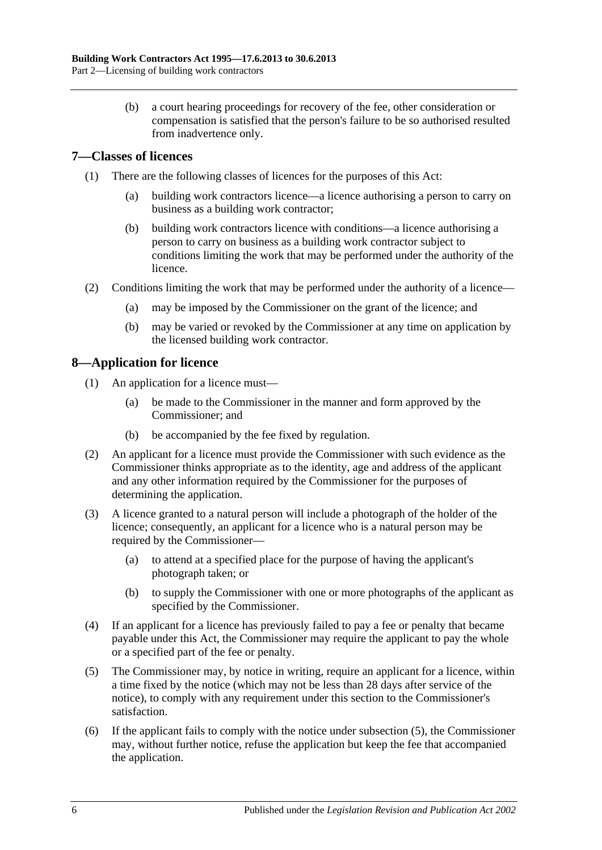(b) a court hearing proceedings for recovery of the fee, other consideration or compensation is satisfied that the person's failure to be so authorised resulted from inadvertence only.

### <span id="page-5-0"></span>**7—Classes of licences**

- (1) There are the following classes of licences for the purposes of this Act:
	- (a) building work contractors licence—a licence authorising a person to carry on business as a building work contractor;
	- (b) building work contractors licence with conditions—a licence authorising a person to carry on business as a building work contractor subject to conditions limiting the work that may be performed under the authority of the licence.
- (2) Conditions limiting the work that may be performed under the authority of a licence—
	- (a) may be imposed by the Commissioner on the grant of the licence; and
	- (b) may be varied or revoked by the Commissioner at any time on application by the licensed building work contractor.

### <span id="page-5-1"></span>**8—Application for licence**

- (1) An application for a licence must—
	- (a) be made to the Commissioner in the manner and form approved by the Commissioner; and
	- (b) be accompanied by the fee fixed by regulation.
- (2) An applicant for a licence must provide the Commissioner with such evidence as the Commissioner thinks appropriate as to the identity, age and address of the applicant and any other information required by the Commissioner for the purposes of determining the application.
- (3) A licence granted to a natural person will include a photograph of the holder of the licence; consequently, an applicant for a licence who is a natural person may be required by the Commissioner—
	- (a) to attend at a specified place for the purpose of having the applicant's photograph taken; or
	- (b) to supply the Commissioner with one or more photographs of the applicant as specified by the Commissioner.
- (4) If an applicant for a licence has previously failed to pay a fee or penalty that became payable under this Act, the Commissioner may require the applicant to pay the whole or a specified part of the fee or penalty.
- <span id="page-5-2"></span>(5) The Commissioner may, by notice in writing, require an applicant for a licence, within a time fixed by the notice (which may not be less than 28 days after service of the notice), to comply with any requirement under this section to the Commissioner's satisfaction.
- (6) If the applicant fails to comply with the notice under [subsection](#page-5-2) (5), the Commissioner may, without further notice, refuse the application but keep the fee that accompanied the application.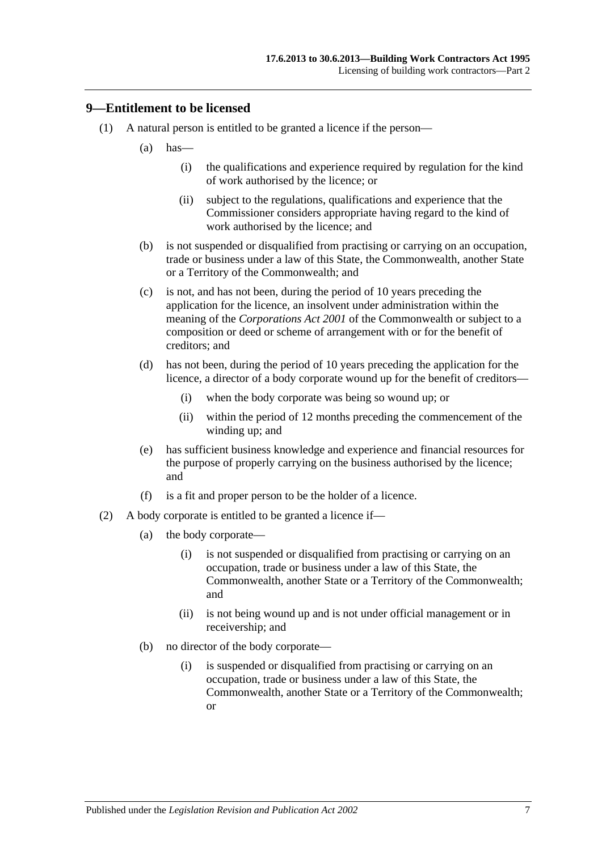#### <span id="page-6-0"></span>**9—Entitlement to be licensed**

- (1) A natural person is entitled to be granted a licence if the person—
	- $(a)$  has—
		- (i) the qualifications and experience required by regulation for the kind of work authorised by the licence; or
		- (ii) subject to the regulations, qualifications and experience that the Commissioner considers appropriate having regard to the kind of work authorised by the licence; and
	- (b) is not suspended or disqualified from practising or carrying on an occupation, trade or business under a law of this State, the Commonwealth, another State or a Territory of the Commonwealth; and
	- (c) is not, and has not been, during the period of 10 years preceding the application for the licence, an insolvent under administration within the meaning of the *Corporations Act 2001* of the Commonwealth or subject to a composition or deed or scheme of arrangement with or for the benefit of creditors; and
	- (d) has not been, during the period of 10 years preceding the application for the licence, a director of a body corporate wound up for the benefit of creditors—
		- (i) when the body corporate was being so wound up; or
		- (ii) within the period of 12 months preceding the commencement of the winding up; and
	- (e) has sufficient business knowledge and experience and financial resources for the purpose of properly carrying on the business authorised by the licence; and
	- (f) is a fit and proper person to be the holder of a licence.
- (2) A body corporate is entitled to be granted a licence if—
	- (a) the body corporate—
		- (i) is not suspended or disqualified from practising or carrying on an occupation, trade or business under a law of this State, the Commonwealth, another State or a Territory of the Commonwealth; and
		- (ii) is not being wound up and is not under official management or in receivership; and
	- (b) no director of the body corporate—
		- (i) is suspended or disqualified from practising or carrying on an occupation, trade or business under a law of this State, the Commonwealth, another State or a Territory of the Commonwealth; or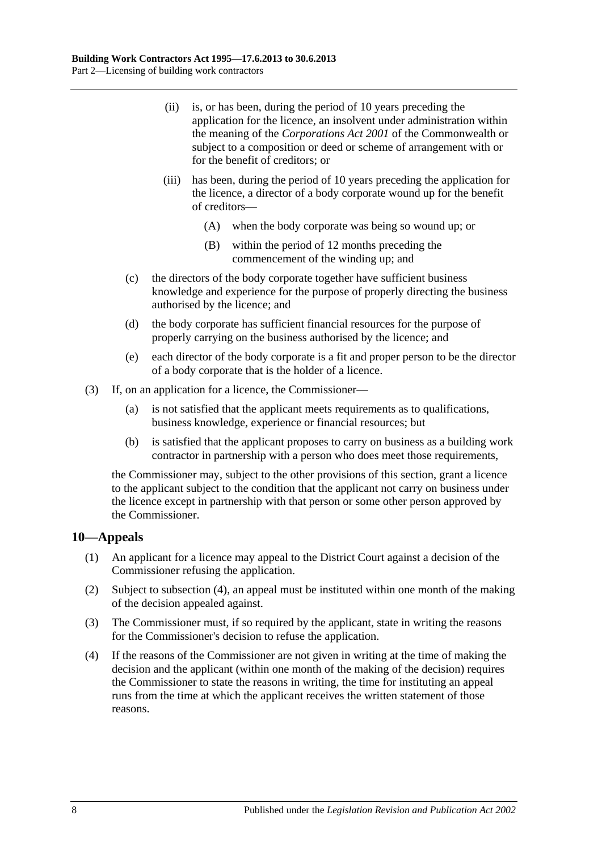- (ii) is, or has been, during the period of 10 years preceding the application for the licence, an insolvent under administration within the meaning of the *Corporations Act 2001* of the Commonwealth or subject to a composition or deed or scheme of arrangement with or for the benefit of creditors; or
- (iii) has been, during the period of 10 years preceding the application for the licence, a director of a body corporate wound up for the benefit of creditors—
	- (A) when the body corporate was being so wound up; or
	- (B) within the period of 12 months preceding the commencement of the winding up; and
- (c) the directors of the body corporate together have sufficient business knowledge and experience for the purpose of properly directing the business authorised by the licence; and
- (d) the body corporate has sufficient financial resources for the purpose of properly carrying on the business authorised by the licence; and
- (e) each director of the body corporate is a fit and proper person to be the director of a body corporate that is the holder of a licence.
- (3) If, on an application for a licence, the Commissioner—
	- (a) is not satisfied that the applicant meets requirements as to qualifications, business knowledge, experience or financial resources; but
	- (b) is satisfied that the applicant proposes to carry on business as a building work contractor in partnership with a person who does meet those requirements,

the Commissioner may, subject to the other provisions of this section, grant a licence to the applicant subject to the condition that the applicant not carry on business under the licence except in partnership with that person or some other person approved by the Commissioner.

#### <span id="page-7-0"></span>**10—Appeals**

- (1) An applicant for a licence may appeal to the District Court against a decision of the Commissioner refusing the application.
- (2) Subject to [subsection](#page-7-1) (4), an appeal must be instituted within one month of the making of the decision appealed against.
- (3) The Commissioner must, if so required by the applicant, state in writing the reasons for the Commissioner's decision to refuse the application.
- <span id="page-7-1"></span>(4) If the reasons of the Commissioner are not given in writing at the time of making the decision and the applicant (within one month of the making of the decision) requires the Commissioner to state the reasons in writing, the time for instituting an appeal runs from the time at which the applicant receives the written statement of those reasons.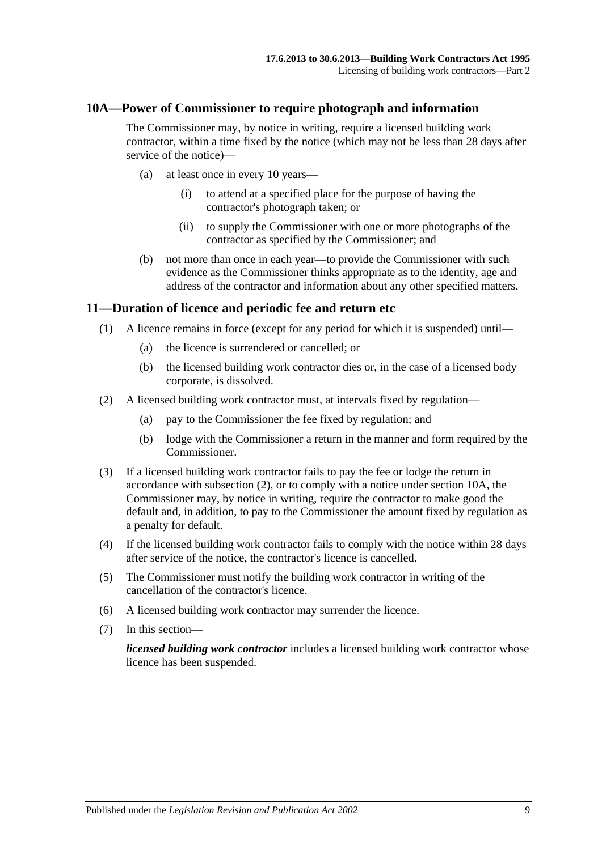#### <span id="page-8-0"></span>**10A—Power of Commissioner to require photograph and information**

The Commissioner may, by notice in writing, require a licensed building work contractor, within a time fixed by the notice (which may not be less than 28 days after service of the notice)—

- (a) at least once in every 10 years—
	- (i) to attend at a specified place for the purpose of having the contractor's photograph taken; or
	- (ii) to supply the Commissioner with one or more photographs of the contractor as specified by the Commissioner; and
- (b) not more than once in each year—to provide the Commissioner with such evidence as the Commissioner thinks appropriate as to the identity, age and address of the contractor and information about any other specified matters.

#### <span id="page-8-1"></span>**11—Duration of licence and periodic fee and return etc**

- (1) A licence remains in force (except for any period for which it is suspended) until—
	- (a) the licence is surrendered or cancelled; or
	- (b) the licensed building work contractor dies or, in the case of a licensed body corporate, is dissolved.
- <span id="page-8-2"></span>(2) A licensed building work contractor must, at intervals fixed by regulation—
	- (a) pay to the Commissioner the fee fixed by regulation; and
	- (b) lodge with the Commissioner a return in the manner and form required by the Commissioner.
- (3) If a licensed building work contractor fails to pay the fee or lodge the return in accordance with [subsection](#page-8-2) (2), or to comply with a notice under [section](#page-8-0) 10A, the Commissioner may, by notice in writing, require the contractor to make good the default and, in addition, to pay to the Commissioner the amount fixed by regulation as a penalty for default.
- (4) If the licensed building work contractor fails to comply with the notice within 28 days after service of the notice, the contractor's licence is cancelled.
- (5) The Commissioner must notify the building work contractor in writing of the cancellation of the contractor's licence.
- (6) A licensed building work contractor may surrender the licence.
- (7) In this section—

*licensed building work contractor* includes a licensed building work contractor whose licence has been suspended.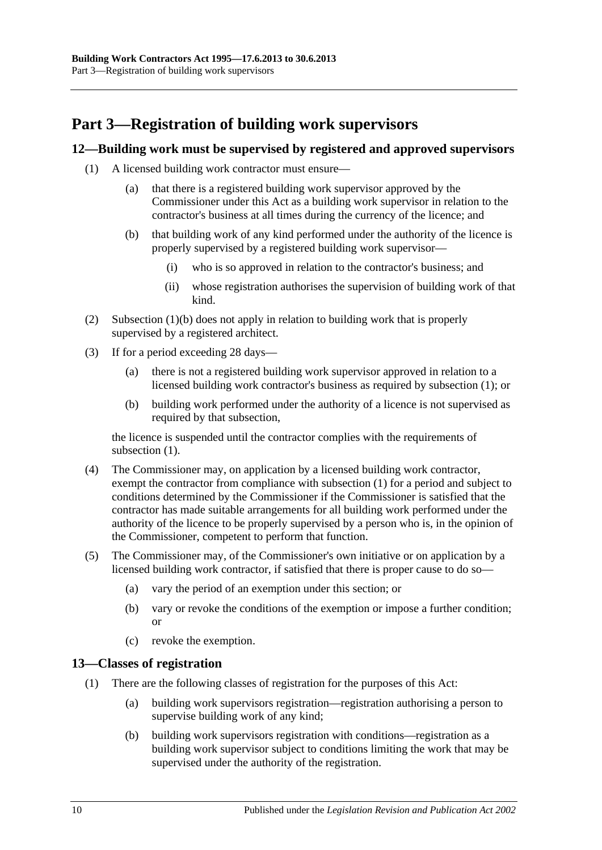## <span id="page-9-0"></span>**Part 3—Registration of building work supervisors**

### <span id="page-9-4"></span><span id="page-9-1"></span>**12—Building work must be supervised by registered and approved supervisors**

- <span id="page-9-3"></span>(1) A licensed building work contractor must ensure—
	- (a) that there is a registered building work supervisor approved by the Commissioner under this Act as a building work supervisor in relation to the contractor's business at all times during the currency of the licence; and
	- (b) that building work of any kind performed under the authority of the licence is properly supervised by a registered building work supervisor—
		- (i) who is so approved in relation to the contractor's business; and
		- (ii) whose registration authorises the supervision of building work of that kind.
- (2) [Subsection](#page-9-3) (1)(b) does not apply in relation to building work that is properly supervised by a registered architect.
- (3) If for a period exceeding 28 days—
	- (a) there is not a registered building work supervisor approved in relation to a licensed building work contractor's business as required by [subsection](#page-9-4) (1); or
	- (b) building work performed under the authority of a licence is not supervised as required by that subsection,

the licence is suspended until the contractor complies with the requirements of [subsection](#page-9-4)  $(1)$ .

- (4) The Commissioner may, on application by a licensed building work contractor, exempt the contractor from compliance with [subsection](#page-9-4) (1) for a period and subject to conditions determined by the Commissioner if the Commissioner is satisfied that the contractor has made suitable arrangements for all building work performed under the authority of the licence to be properly supervised by a person who is, in the opinion of the Commissioner, competent to perform that function.
- (5) The Commissioner may, of the Commissioner's own initiative or on application by a licensed building work contractor, if satisfied that there is proper cause to do so—
	- (a) vary the period of an exemption under this section; or
	- (b) vary or revoke the conditions of the exemption or impose a further condition; or
	- (c) revoke the exemption.

#### <span id="page-9-2"></span>**13—Classes of registration**

- (1) There are the following classes of registration for the purposes of this Act:
	- (a) building work supervisors registration—registration authorising a person to supervise building work of any kind;
	- (b) building work supervisors registration with conditions—registration as a building work supervisor subject to conditions limiting the work that may be supervised under the authority of the registration.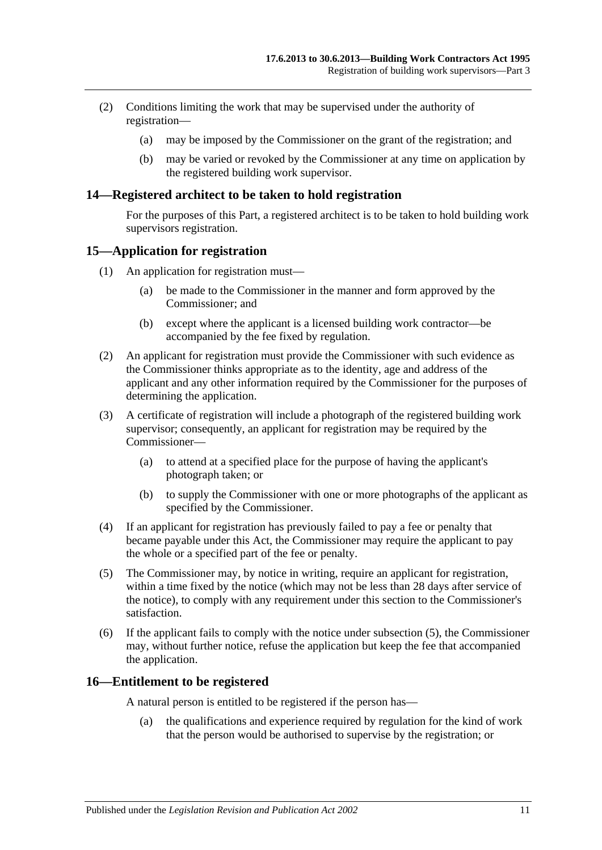- (2) Conditions limiting the work that may be supervised under the authority of registration—
	- (a) may be imposed by the Commissioner on the grant of the registration; and
	- (b) may be varied or revoked by the Commissioner at any time on application by the registered building work supervisor.

#### <span id="page-10-0"></span>**14—Registered architect to be taken to hold registration**

For the purposes of this Part, a registered architect is to be taken to hold building work supervisors registration.

#### <span id="page-10-1"></span>**15—Application for registration**

- (1) An application for registration must—
	- (a) be made to the Commissioner in the manner and form approved by the Commissioner; and
	- (b) except where the applicant is a licensed building work contractor—be accompanied by the fee fixed by regulation.
- (2) An applicant for registration must provide the Commissioner with such evidence as the Commissioner thinks appropriate as to the identity, age and address of the applicant and any other information required by the Commissioner for the purposes of determining the application.
- (3) A certificate of registration will include a photograph of the registered building work supervisor; consequently, an applicant for registration may be required by the Commissioner—
	- (a) to attend at a specified place for the purpose of having the applicant's photograph taken; or
	- (b) to supply the Commissioner with one or more photographs of the applicant as specified by the Commissioner.
- (4) If an applicant for registration has previously failed to pay a fee or penalty that became payable under this Act, the Commissioner may require the applicant to pay the whole or a specified part of the fee or penalty.
- <span id="page-10-3"></span>(5) The Commissioner may, by notice in writing, require an applicant for registration, within a time fixed by the notice (which may not be less than 28 days after service of the notice), to comply with any requirement under this section to the Commissioner's satisfaction.
- (6) If the applicant fails to comply with the notice under [subsection](#page-10-3) (5), the Commissioner may, without further notice, refuse the application but keep the fee that accompanied the application.

#### <span id="page-10-2"></span>**16—Entitlement to be registered**

A natural person is entitled to be registered if the person has—

(a) the qualifications and experience required by regulation for the kind of work that the person would be authorised to supervise by the registration; or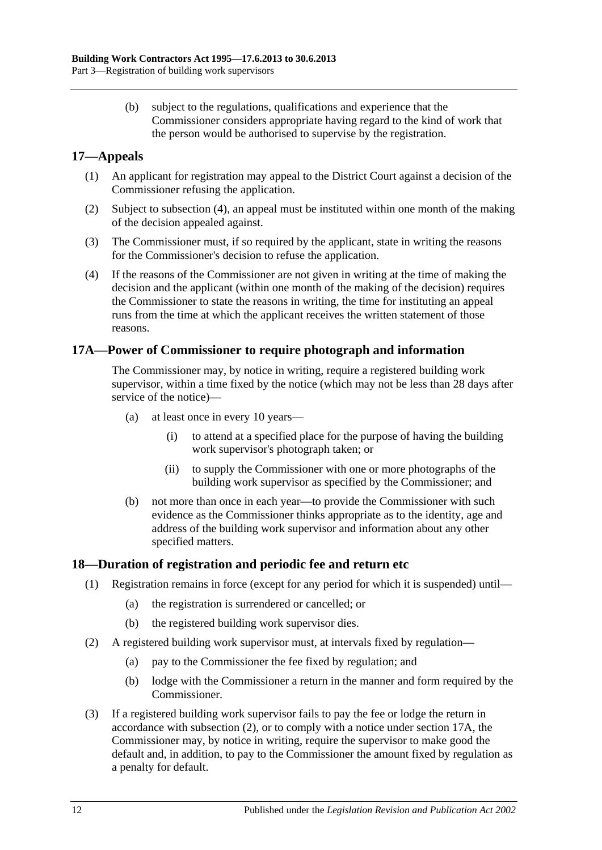(b) subject to the regulations, qualifications and experience that the Commissioner considers appropriate having regard to the kind of work that the person would be authorised to supervise by the registration.

### <span id="page-11-0"></span>**17—Appeals**

- (1) An applicant for registration may appeal to the District Court against a decision of the Commissioner refusing the application.
- (2) Subject to [subsection](#page-11-3) (4), an appeal must be instituted within one month of the making of the decision appealed against.
- (3) The Commissioner must, if so required by the applicant, state in writing the reasons for the Commissioner's decision to refuse the application.
- <span id="page-11-3"></span>(4) If the reasons of the Commissioner are not given in writing at the time of making the decision and the applicant (within one month of the making of the decision) requires the Commissioner to state the reasons in writing, the time for instituting an appeal runs from the time at which the applicant receives the written statement of those reasons.

#### <span id="page-11-1"></span>**17A—Power of Commissioner to require photograph and information**

The Commissioner may, by notice in writing, require a registered building work supervisor, within a time fixed by the notice (which may not be less than 28 days after service of the notice)—

- (a) at least once in every 10 years—
	- (i) to attend at a specified place for the purpose of having the building work supervisor's photograph taken; or
	- (ii) to supply the Commissioner with one or more photographs of the building work supervisor as specified by the Commissioner; and
- (b) not more than once in each year—to provide the Commissioner with such evidence as the Commissioner thinks appropriate as to the identity, age and address of the building work supervisor and information about any other specified matters.

#### <span id="page-11-2"></span>**18—Duration of registration and periodic fee and return etc**

- (1) Registration remains in force (except for any period for which it is suspended) until—
	- (a) the registration is surrendered or cancelled; or
	- (b) the registered building work supervisor dies.
- <span id="page-11-4"></span>(2) A registered building work supervisor must, at intervals fixed by regulation—
	- (a) pay to the Commissioner the fee fixed by regulation; and
	- (b) lodge with the Commissioner a return in the manner and form required by the Commissioner.
- (3) If a registered building work supervisor fails to pay the fee or lodge the return in accordance with [subsection](#page-11-4) (2), or to comply with a notice under [section](#page-11-1) 17A, the Commissioner may, by notice in writing, require the supervisor to make good the default and, in addition, to pay to the Commissioner the amount fixed by regulation as a penalty for default.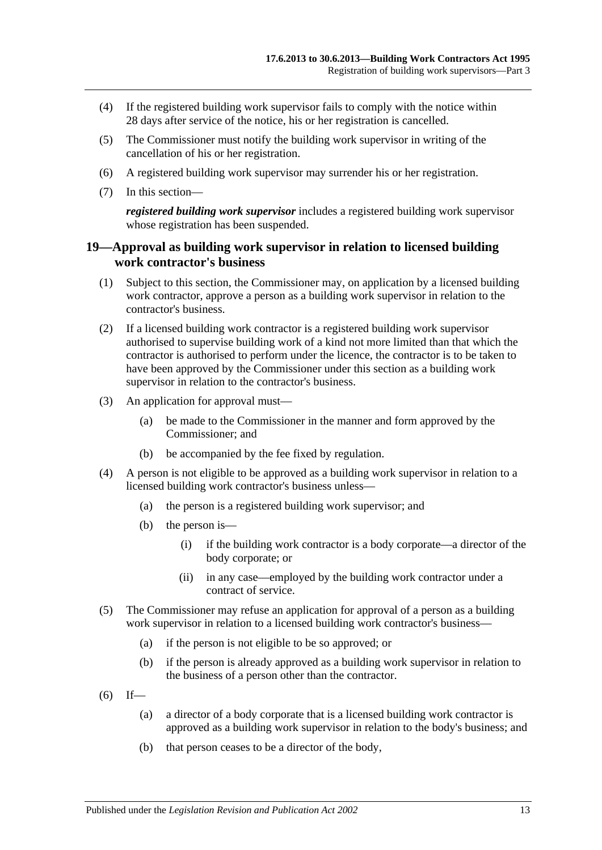- (4) If the registered building work supervisor fails to comply with the notice within 28 days after service of the notice, his or her registration is cancelled.
- (5) The Commissioner must notify the building work supervisor in writing of the cancellation of his or her registration.
- (6) A registered building work supervisor may surrender his or her registration.
- (7) In this section—

*registered building work supervisor* includes a registered building work supervisor whose registration has been suspended.

#### <span id="page-12-0"></span>**19—Approval as building work supervisor in relation to licensed building work contractor's business**

- (1) Subject to this section, the Commissioner may, on application by a licensed building work contractor, approve a person as a building work supervisor in relation to the contractor's business.
- (2) If a licensed building work contractor is a registered building work supervisor authorised to supervise building work of a kind not more limited than that which the contractor is authorised to perform under the licence, the contractor is to be taken to have been approved by the Commissioner under this section as a building work supervisor in relation to the contractor's business.
- (3) An application for approval must—
	- (a) be made to the Commissioner in the manner and form approved by the Commissioner; and
	- (b) be accompanied by the fee fixed by regulation.
- (4) A person is not eligible to be approved as a building work supervisor in relation to a licensed building work contractor's business unless—
	- (a) the person is a registered building work supervisor; and
	- (b) the person is—
		- (i) if the building work contractor is a body corporate—a director of the body corporate; or
		- (ii) in any case—employed by the building work contractor under a contract of service.
- (5) The Commissioner may refuse an application for approval of a person as a building work supervisor in relation to a licensed building work contractor's business—
	- (a) if the person is not eligible to be so approved; or
	- (b) if the person is already approved as a building work supervisor in relation to the business of a person other than the contractor.
- $(6)$  If—
	- (a) a director of a body corporate that is a licensed building work contractor is approved as a building work supervisor in relation to the body's business; and
	- (b) that person ceases to be a director of the body,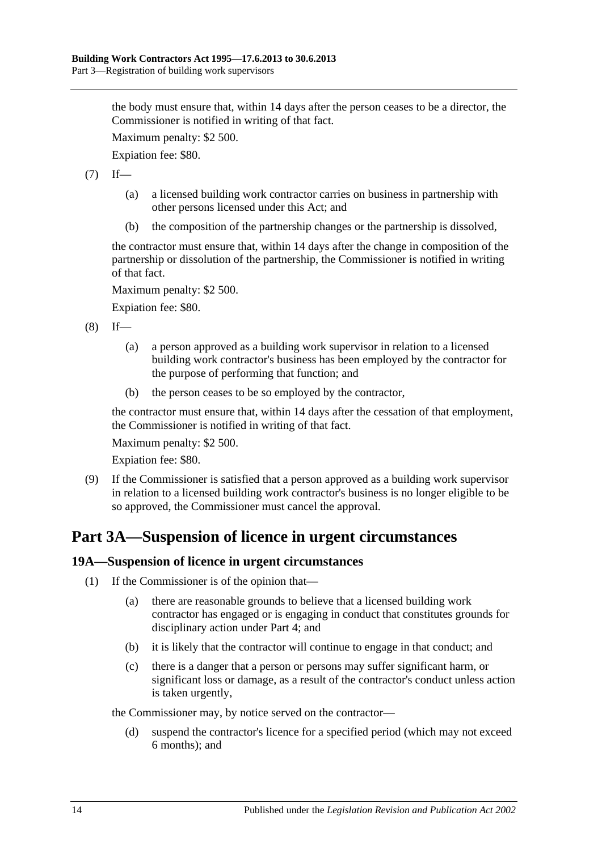the body must ensure that, within 14 days after the person ceases to be a director, the Commissioner is notified in writing of that fact.

Maximum penalty: \$2 500.

Expiation fee: \$80.

 $(7)$  If—

- (a) a licensed building work contractor carries on business in partnership with other persons licensed under this Act; and
- (b) the composition of the partnership changes or the partnership is dissolved,

the contractor must ensure that, within 14 days after the change in composition of the partnership or dissolution of the partnership, the Commissioner is notified in writing of that fact.

Maximum penalty: \$2 500.

Expiation fee: \$80.

 $(8)$  If—

- (a) a person approved as a building work supervisor in relation to a licensed building work contractor's business has been employed by the contractor for the purpose of performing that function; and
- (b) the person ceases to be so employed by the contractor,

the contractor must ensure that, within 14 days after the cessation of that employment, the Commissioner is notified in writing of that fact.

Maximum penalty: \$2 500.

Expiation fee: \$80.

(9) If the Commissioner is satisfied that a person approved as a building work supervisor in relation to a licensed building work contractor's business is no longer eligible to be so approved, the Commissioner must cancel the approval.

## <span id="page-13-0"></span>**Part 3A—Suspension of licence in urgent circumstances**

#### <span id="page-13-1"></span>**19A—Suspension of licence in urgent circumstances**

- (1) If the Commissioner is of the opinion that—
	- (a) there are reasonable grounds to believe that a licensed building work contractor has engaged or is engaging in conduct that constitutes grounds for disciplinary action under [Part 4;](#page-14-0) and
	- (b) it is likely that the contractor will continue to engage in that conduct; and
	- (c) there is a danger that a person or persons may suffer significant harm, or significant loss or damage, as a result of the contractor's conduct unless action is taken urgently,

the Commissioner may, by notice served on the contractor—

(d) suspend the contractor's licence for a specified period (which may not exceed 6 months); and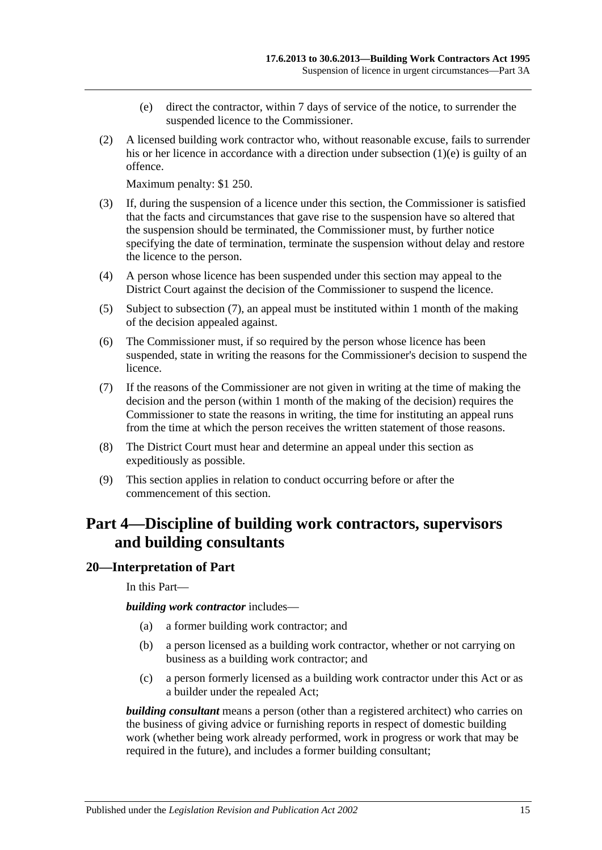- (e) direct the contractor, within 7 days of service of the notice, to surrender the suspended licence to the Commissioner.
- <span id="page-14-2"></span>(2) A licensed building work contractor who, without reasonable excuse, fails to surrender his or her licence in accordance with a direction under [subsection](#page-14-2) (1)(e) is guilty of an offence.

Maximum penalty: \$1 250.

- (3) If, during the suspension of a licence under this section, the Commissioner is satisfied that the facts and circumstances that gave rise to the suspension have so altered that the suspension should be terminated, the Commissioner must, by further notice specifying the date of termination, terminate the suspension without delay and restore the licence to the person.
- (4) A person whose licence has been suspended under this section may appeal to the District Court against the decision of the Commissioner to suspend the licence.
- (5) Subject to [subsection](#page-14-3) (7), an appeal must be instituted within 1 month of the making of the decision appealed against.
- (6) The Commissioner must, if so required by the person whose licence has been suspended, state in writing the reasons for the Commissioner's decision to suspend the licence.
- <span id="page-14-3"></span>(7) If the reasons of the Commissioner are not given in writing at the time of making the decision and the person (within 1 month of the making of the decision) requires the Commissioner to state the reasons in writing, the time for instituting an appeal runs from the time at which the person receives the written statement of those reasons.
- (8) The District Court must hear and determine an appeal under this section as expeditiously as possible.
- (9) This section applies in relation to conduct occurring before or after the commencement of this section.

## <span id="page-14-0"></span>**Part 4—Discipline of building work contractors, supervisors and building consultants**

#### <span id="page-14-1"></span>**20—Interpretation of Part**

In this Part—

*building work contractor* includes—

- (a) a former building work contractor; and
- (b) a person licensed as a building work contractor, whether or not carrying on business as a building work contractor; and
- (c) a person formerly licensed as a building work contractor under this Act or as a builder under the repealed Act;

*building consultant* means a person (other than a registered architect) who carries on the business of giving advice or furnishing reports in respect of domestic building work (whether being work already performed, work in progress or work that may be required in the future), and includes a former building consultant;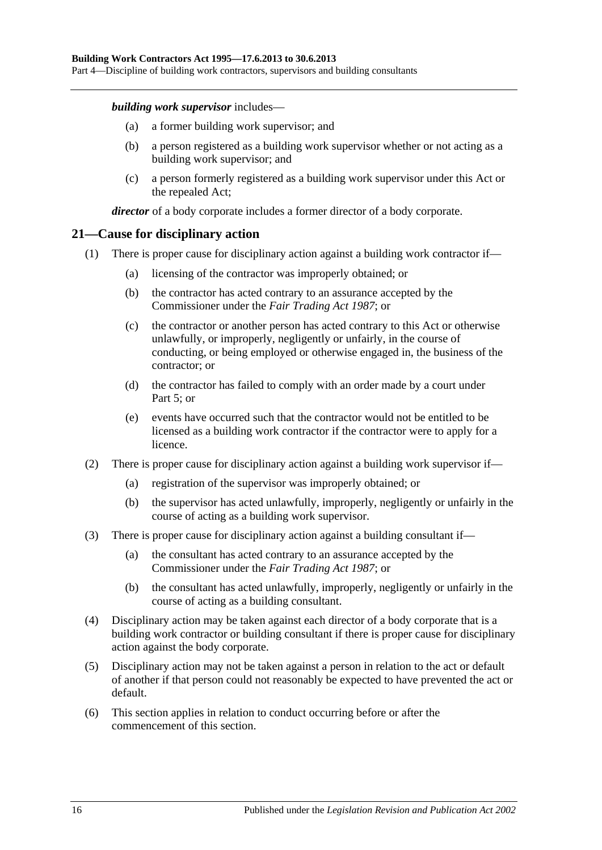Part 4—Discipline of building work contractors, supervisors and building consultants

#### *building work supervisor* includes—

- (a) a former building work supervisor; and
- (b) a person registered as a building work supervisor whether or not acting as a building work supervisor; and
- (c) a person formerly registered as a building work supervisor under this Act or the repealed Act;

*director* of a body corporate includes a former director of a body corporate.

### <span id="page-15-0"></span>**21—Cause for disciplinary action**

- (1) There is proper cause for disciplinary action against a building work contractor if—
	- (a) licensing of the contractor was improperly obtained; or
	- (b) the contractor has acted contrary to an assurance accepted by the Commissioner under the *[Fair Trading Act](http://www.legislation.sa.gov.au/index.aspx?action=legref&type=act&legtitle=Fair%20Trading%20Act%201987) 1987*; or
	- (c) the contractor or another person has acted contrary to this Act or otherwise unlawfully, or improperly, negligently or unfairly, in the course of conducting, or being employed or otherwise engaged in, the business of the contractor; or
	- (d) the contractor has failed to comply with an order made by a court under [Part](#page-17-1) 5; or
	- (e) events have occurred such that the contractor would not be entitled to be licensed as a building work contractor if the contractor were to apply for a licence.
- (2) There is proper cause for disciplinary action against a building work supervisor if—
	- (a) registration of the supervisor was improperly obtained; or
	- (b) the supervisor has acted unlawfully, improperly, negligently or unfairly in the course of acting as a building work supervisor.
- (3) There is proper cause for disciplinary action against a building consultant if—
	- (a) the consultant has acted contrary to an assurance accepted by the Commissioner under the *[Fair Trading Act](http://www.legislation.sa.gov.au/index.aspx?action=legref&type=act&legtitle=Fair%20Trading%20Act%201987) 1987*; or
	- (b) the consultant has acted unlawfully, improperly, negligently or unfairly in the course of acting as a building consultant.
- (4) Disciplinary action may be taken against each director of a body corporate that is a building work contractor or building consultant if there is proper cause for disciplinary action against the body corporate.
- (5) Disciplinary action may not be taken against a person in relation to the act or default of another if that person could not reasonably be expected to have prevented the act or default.
- (6) This section applies in relation to conduct occurring before or after the commencement of this section.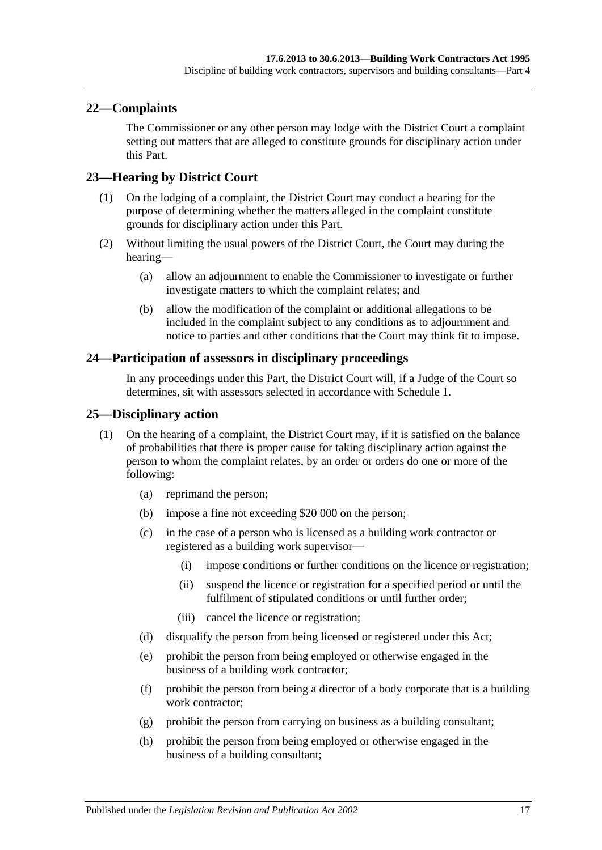### <span id="page-16-0"></span>**22—Complaints**

The Commissioner or any other person may lodge with the District Court a complaint setting out matters that are alleged to constitute grounds for disciplinary action under this Part.

### <span id="page-16-1"></span>**23—Hearing by District Court**

- (1) On the lodging of a complaint, the District Court may conduct a hearing for the purpose of determining whether the matters alleged in the complaint constitute grounds for disciplinary action under this Part.
- (2) Without limiting the usual powers of the District Court, the Court may during the hearing—
	- (a) allow an adjournment to enable the Commissioner to investigate or further investigate matters to which the complaint relates; and
	- (b) allow the modification of the complaint or additional allegations to be included in the complaint subject to any conditions as to adjournment and notice to parties and other conditions that the Court may think fit to impose.

#### <span id="page-16-2"></span>**24—Participation of assessors in disciplinary proceedings**

In any proceedings under this Part, the District Court will, if a Judge of the Court so determines, sit with assessors selected in accordance with [Schedule 1.](#page-33-0)

#### <span id="page-16-3"></span>**25—Disciplinary action**

- (1) On the hearing of a complaint, the District Court may, if it is satisfied on the balance of probabilities that there is proper cause for taking disciplinary action against the person to whom the complaint relates, by an order or orders do one or more of the following:
	- (a) reprimand the person;
	- (b) impose a fine not exceeding \$20 000 on the person;
	- (c) in the case of a person who is licensed as a building work contractor or registered as a building work supervisor—
		- (i) impose conditions or further conditions on the licence or registration;
		- (ii) suspend the licence or registration for a specified period or until the fulfilment of stipulated conditions or until further order;
		- (iii) cancel the licence or registration;
	- (d) disqualify the person from being licensed or registered under this Act;
	- (e) prohibit the person from being employed or otherwise engaged in the business of a building work contractor;
	- (f) prohibit the person from being a director of a body corporate that is a building work contractor:
	- (g) prohibit the person from carrying on business as a building consultant;
	- (h) prohibit the person from being employed or otherwise engaged in the business of a building consultant;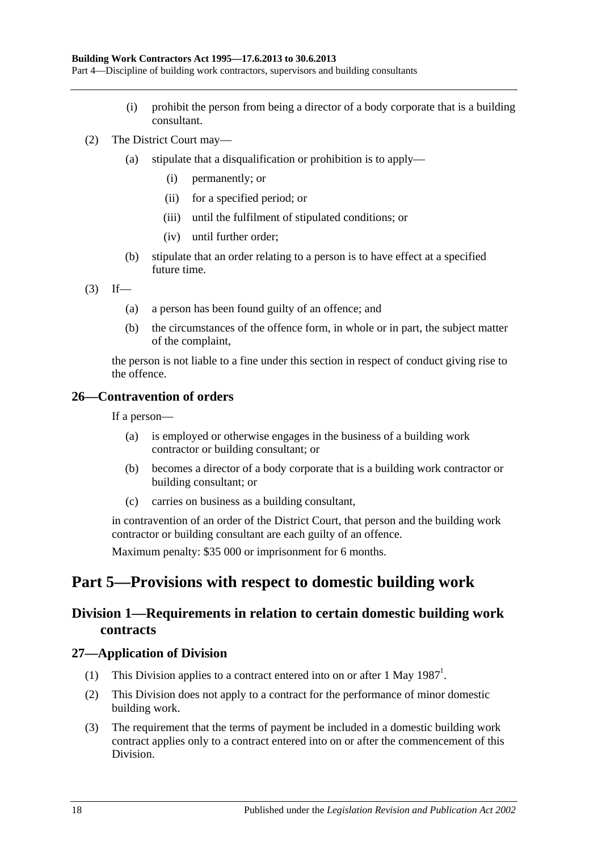Part 4—Discipline of building work contractors, supervisors and building consultants

- (i) prohibit the person from being a director of a body corporate that is a building consultant.
- (2) The District Court may—
	- (a) stipulate that a disqualification or prohibition is to apply—
		- (i) permanently; or
		- (ii) for a specified period; or
		- (iii) until the fulfilment of stipulated conditions; or
		- (iv) until further order;
	- (b) stipulate that an order relating to a person is to have effect at a specified future time.
- $(3)$  If—
	- (a) a person has been found guilty of an offence; and
	- (b) the circumstances of the offence form, in whole or in part, the subject matter of the complaint,

the person is not liable to a fine under this section in respect of conduct giving rise to the offence.

### <span id="page-17-0"></span>**26—Contravention of orders**

If a person—

- (a) is employed or otherwise engages in the business of a building work contractor or building consultant; or
- (b) becomes a director of a body corporate that is a building work contractor or building consultant; or
- (c) carries on business as a building consultant,

in contravention of an order of the District Court, that person and the building work contractor or building consultant are each guilty of an offence.

Maximum penalty: \$35 000 or imprisonment for 6 months.

## <span id="page-17-2"></span><span id="page-17-1"></span>**Part 5—Provisions with respect to domestic building work**

## **Division 1—Requirements in relation to certain domestic building work contracts**

#### <span id="page-17-3"></span>**27—Application of Division**

- (1) This Division applies to a contract entered into on or after 1 May  $1987<sup>1</sup>$ .
- (2) This Division does not apply to a contract for the performance of minor domestic building work.
- (3) The requirement that the terms of payment be included in a domestic building work contract applies only to a contract entered into on or after the commencement of this Division.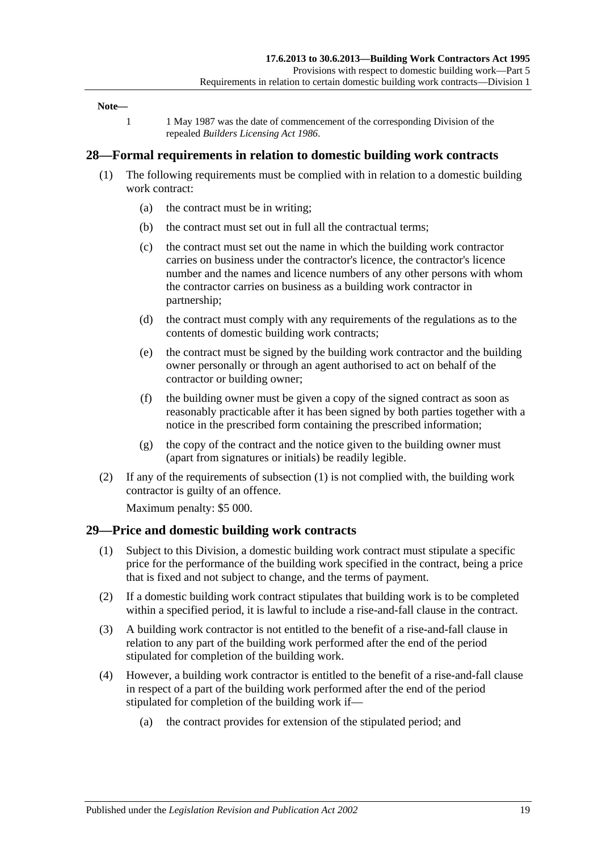#### **Note—**

1 1 May 1987 was the date of commencement of the corresponding Division of the repealed *[Builders Licensing Act](http://www.legislation.sa.gov.au/index.aspx?action=legref&type=act&legtitle=Builders%20Licensing%20Act%201986) 1986*.

#### <span id="page-18-2"></span><span id="page-18-0"></span>**28—Formal requirements in relation to domestic building work contracts**

- (1) The following requirements must be complied with in relation to a domestic building work contract:
	- (a) the contract must be in writing;
	- (b) the contract must set out in full all the contractual terms;
	- (c) the contract must set out the name in which the building work contractor carries on business under the contractor's licence, the contractor's licence number and the names and licence numbers of any other persons with whom the contractor carries on business as a building work contractor in partnership;
	- (d) the contract must comply with any requirements of the regulations as to the contents of domestic building work contracts;
	- (e) the contract must be signed by the building work contractor and the building owner personally or through an agent authorised to act on behalf of the contractor or building owner;
	- (f) the building owner must be given a copy of the signed contract as soon as reasonably practicable after it has been signed by both parties together with a notice in the prescribed form containing the prescribed information;
	- (g) the copy of the contract and the notice given to the building owner must (apart from signatures or initials) be readily legible.
- (2) If any of the requirements of [subsection](#page-18-2) (1) is not complied with, the building work contractor is guilty of an offence.

Maximum penalty: \$5 000.

#### <span id="page-18-1"></span>**29—Price and domestic building work contracts**

- (1) Subject to this Division, a domestic building work contract must stipulate a specific price for the performance of the building work specified in the contract, being a price that is fixed and not subject to change, and the terms of payment.
- (2) If a domestic building work contract stipulates that building work is to be completed within a specified period, it is lawful to include a rise-and-fall clause in the contract.
- (3) A building work contractor is not entitled to the benefit of a rise-and-fall clause in relation to any part of the building work performed after the end of the period stipulated for completion of the building work.
- (4) However, a building work contractor is entitled to the benefit of a rise-and-fall clause in respect of a part of the building work performed after the end of the period stipulated for completion of the building work if—
	- (a) the contract provides for extension of the stipulated period; and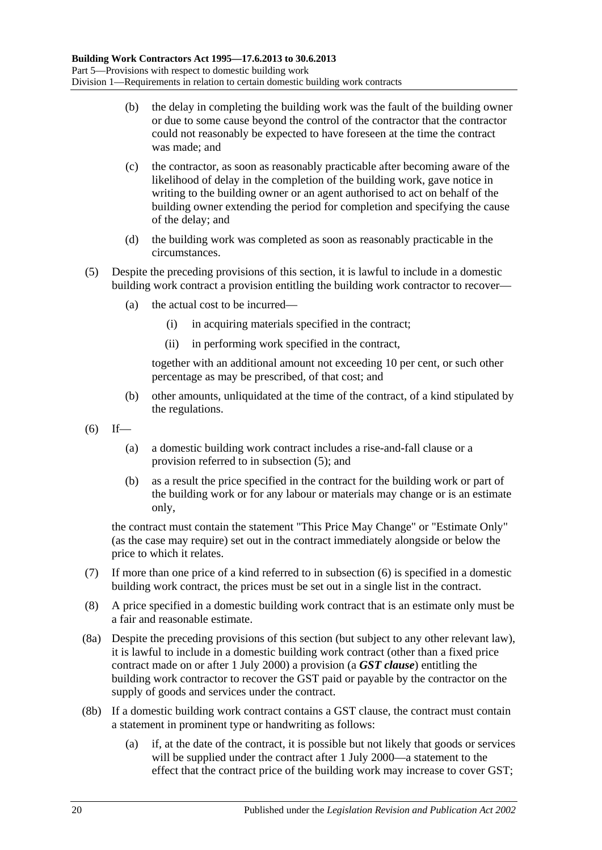- (b) the delay in completing the building work was the fault of the building owner or due to some cause beyond the control of the contractor that the contractor could not reasonably be expected to have foreseen at the time the contract was made; and
- (c) the contractor, as soon as reasonably practicable after becoming aware of the likelihood of delay in the completion of the building work, gave notice in writing to the building owner or an agent authorised to act on behalf of the building owner extending the period for completion and specifying the cause of the delay; and
- (d) the building work was completed as soon as reasonably practicable in the circumstances.
- <span id="page-19-0"></span>(5) Despite the preceding provisions of this section, it is lawful to include in a domestic building work contract a provision entitling the building work contractor to recover—
	- (a) the actual cost to be incurred—
		- (i) in acquiring materials specified in the contract;
		- (ii) in performing work specified in the contract,

together with an additional amount not exceeding 10 per cent, or such other percentage as may be prescribed, of that cost; and

- (b) other amounts, unliquidated at the time of the contract, of a kind stipulated by the regulations.
- <span id="page-19-1"></span> $(6)$  If—
	- (a) a domestic building work contract includes a rise-and-fall clause or a provision referred to in [subsection](#page-19-0) (5); and
	- (b) as a result the price specified in the contract for the building work or part of the building work or for any labour or materials may change or is an estimate only,

the contract must contain the statement "This Price May Change" or "Estimate Only" (as the case may require) set out in the contract immediately alongside or below the price to which it relates.

- (7) If more than one price of a kind referred to in [subsection](#page-19-1) (6) is specified in a domestic building work contract, the prices must be set out in a single list in the contract.
- (8) A price specified in a domestic building work contract that is an estimate only must be a fair and reasonable estimate.
- <span id="page-19-2"></span>(8a) Despite the preceding provisions of this section (but subject to any other relevant law), it is lawful to include in a domestic building work contract (other than a fixed price contract made on or after 1 July 2000) a provision (a *GST clause*) entitling the building work contractor to recover the GST paid or payable by the contractor on the supply of goods and services under the contract.
- (8b) If a domestic building work contract contains a GST clause, the contract must contain a statement in prominent type or handwriting as follows:
	- (a) if, at the date of the contract, it is possible but not likely that goods or services will be supplied under the contract after 1 July 2000—a statement to the effect that the contract price of the building work may increase to cover GST;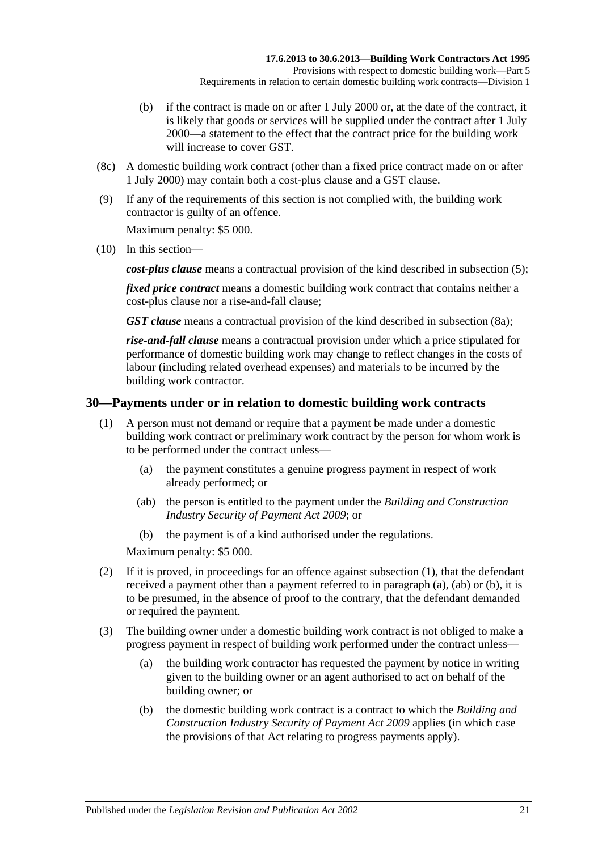- (b) if the contract is made on or after 1 July 2000 or, at the date of the contract, it is likely that goods or services will be supplied under the contract after 1 July 2000—a statement to the effect that the contract price for the building work will increase to cover GST.
- (8c) A domestic building work contract (other than a fixed price contract made on or after 1 July 2000) may contain both a cost-plus clause and a GST clause.
- (9) If any of the requirements of this section is not complied with, the building work contractor is guilty of an offence.

Maximum penalty: \$5 000.

(10) In this section—

*cost-plus clause* means a contractual provision of the kind described in [subsection](#page-19-0) (5);

*fixed price contract* means a domestic building work contract that contains neither a cost-plus clause nor a rise-and-fall clause;

*GST clause* means a contractual provision of the kind described in [subsection](#page-19-2) (8a);

*rise-and-fall clause* means a contractual provision under which a price stipulated for performance of domestic building work may change to reflect changes in the costs of labour (including related overhead expenses) and materials to be incurred by the building work contractor.

#### <span id="page-20-1"></span><span id="page-20-0"></span>**30—Payments under or in relation to domestic building work contracts**

- <span id="page-20-2"></span>(1) A person must not demand or require that a payment be made under a domestic building work contract or preliminary work contract by the person for whom work is to be performed under the contract unless—
	- (a) the payment constitutes a genuine progress payment in respect of work already performed; or
	- (ab) the person is entitled to the payment under the *[Building and Construction](http://www.legislation.sa.gov.au/index.aspx?action=legref&type=act&legtitle=Building%20and%20Construction%20Industry%20Security%20of%20Payment%20Act%202009)  [Industry Security of Payment Act](http://www.legislation.sa.gov.au/index.aspx?action=legref&type=act&legtitle=Building%20and%20Construction%20Industry%20Security%20of%20Payment%20Act%202009) 2009*; or
	- (b) the payment is of a kind authorised under the regulations.

<span id="page-20-3"></span>Maximum penalty: \$5 000.

- <span id="page-20-4"></span>(2) If it is proved, in proceedings for an offence against [subsection](#page-20-1) (1), that the defendant received a payment other than a payment referred to in [paragraph](#page-20-2) (a), [\(ab\)](#page-20-3) or [\(b\),](#page-20-4) it is to be presumed, in the absence of proof to the contrary, that the defendant demanded or required the payment.
- (3) The building owner under a domestic building work contract is not obliged to make a progress payment in respect of building work performed under the contract unless—
	- (a) the building work contractor has requested the payment by notice in writing given to the building owner or an agent authorised to act on behalf of the building owner; or
	- (b) the domestic building work contract is a contract to which the *[Building and](http://www.legislation.sa.gov.au/index.aspx?action=legref&type=act&legtitle=Building%20and%20Construction%20Industry%20Security%20of%20Payment%20Act%202009)  [Construction Industry Security of Payment Act](http://www.legislation.sa.gov.au/index.aspx?action=legref&type=act&legtitle=Building%20and%20Construction%20Industry%20Security%20of%20Payment%20Act%202009) 2009* applies (in which case the provisions of that Act relating to progress payments apply).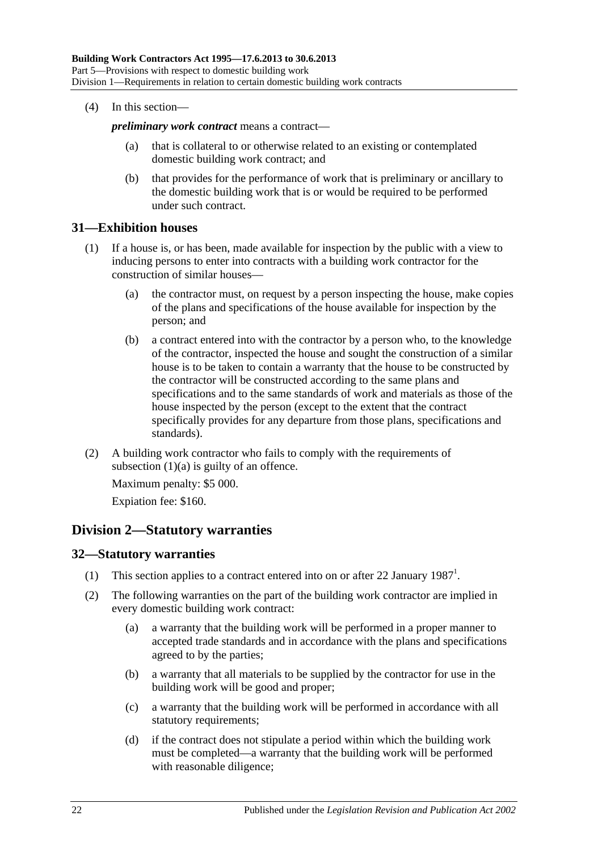(4) In this section—

*preliminary work contract* means a contract—

- (a) that is collateral to or otherwise related to an existing or contemplated domestic building work contract; and
- (b) that provides for the performance of work that is preliminary or ancillary to the domestic building work that is or would be required to be performed under such contract.

#### <span id="page-21-0"></span>**31—Exhibition houses**

- <span id="page-21-3"></span>(1) If a house is, or has been, made available for inspection by the public with a view to inducing persons to enter into contracts with a building work contractor for the construction of similar houses—
	- (a) the contractor must, on request by a person inspecting the house, make copies of the plans and specifications of the house available for inspection by the person; and
	- (b) a contract entered into with the contractor by a person who, to the knowledge of the contractor, inspected the house and sought the construction of a similar house is to be taken to contain a warranty that the house to be constructed by the contractor will be constructed according to the same plans and specifications and to the same standards of work and materials as those of the house inspected by the person (except to the extent that the contract specifically provides for any departure from those plans, specifications and standards).
- (2) A building work contractor who fails to comply with the requirements of [subsection](#page-21-3)  $(1)(a)$  is guilty of an offence.

Maximum penalty: \$5 000. Expiation fee: \$160.

## <span id="page-21-1"></span>**Division 2—Statutory warranties**

#### <span id="page-21-2"></span>**32—Statutory warranties**

- (1) This section applies to a contract entered into on or after 22 January 1987<sup>1</sup>.
- (2) The following warranties on the part of the building work contractor are implied in every domestic building work contract:
	- (a) a warranty that the building work will be performed in a proper manner to accepted trade standards and in accordance with the plans and specifications agreed to by the parties;
	- (b) a warranty that all materials to be supplied by the contractor for use in the building work will be good and proper;
	- (c) a warranty that the building work will be performed in accordance with all statutory requirements;
	- (d) if the contract does not stipulate a period within which the building work must be completed—a warranty that the building work will be performed with reasonable diligence;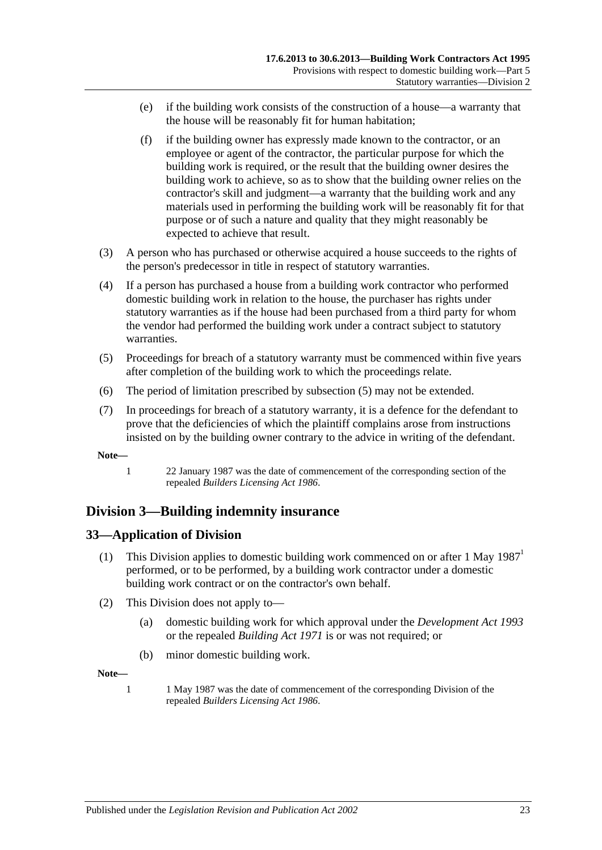- (e) if the building work consists of the construction of a house—a warranty that the house will be reasonably fit for human habitation;
- (f) if the building owner has expressly made known to the contractor, or an employee or agent of the contractor, the particular purpose for which the building work is required, or the result that the building owner desires the building work to achieve, so as to show that the building owner relies on the contractor's skill and judgment—a warranty that the building work and any materials used in performing the building work will be reasonably fit for that purpose or of such a nature and quality that they might reasonably be expected to achieve that result.
- (3) A person who has purchased or otherwise acquired a house succeeds to the rights of the person's predecessor in title in respect of statutory warranties.
- (4) If a person has purchased a house from a building work contractor who performed domestic building work in relation to the house, the purchaser has rights under statutory warranties as if the house had been purchased from a third party for whom the vendor had performed the building work under a contract subject to statutory warranties.
- <span id="page-22-2"></span>(5) Proceedings for breach of a statutory warranty must be commenced within five years after completion of the building work to which the proceedings relate.
- (6) The period of limitation prescribed by [subsection](#page-22-2) (5) may not be extended.
- (7) In proceedings for breach of a statutory warranty, it is a defence for the defendant to prove that the deficiencies of which the plaintiff complains arose from instructions insisted on by the building owner contrary to the advice in writing of the defendant.

**Note—**

1 22 January 1987 was the date of commencement of the corresponding section of the repealed *[Builders Licensing Act](http://www.legislation.sa.gov.au/index.aspx?action=legref&type=act&legtitle=Builders%20Licensing%20Act%201986) 1986*.

## <span id="page-22-0"></span>**Division 3—Building indemnity insurance**

#### <span id="page-22-1"></span>**33—Application of Division**

- (1) This Division applies to domestic building work commenced on or after 1 May  $1987<sup>1</sup>$ performed, or to be performed, by a building work contractor under a domestic building work contract or on the contractor's own behalf.
- (2) This Division does not apply to—
	- (a) domestic building work for which approval under the *[Development Act](http://www.legislation.sa.gov.au/index.aspx?action=legref&type=act&legtitle=Development%20Act%201993) 1993* or the repealed *[Building Act](http://www.legislation.sa.gov.au/index.aspx?action=legref&type=act&legtitle=Building%20Act%201971) 1971* is or was not required; or
	- (b) minor domestic building work.

**Note—**

1 1 May 1987 was the date of commencement of the corresponding Division of the repealed *[Builders Licensing Act](http://www.legislation.sa.gov.au/index.aspx?action=legref&type=act&legtitle=Builders%20Licensing%20Act%201986) 1986*.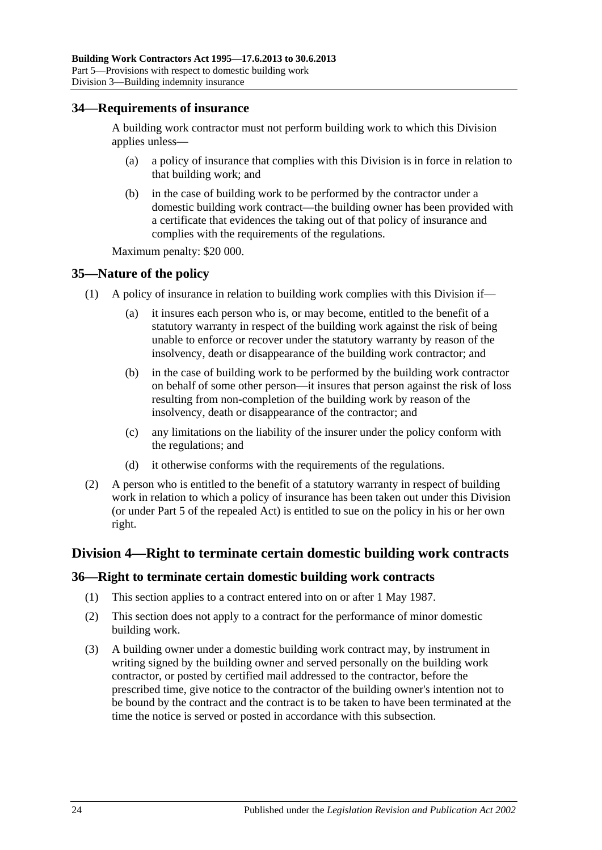#### <span id="page-23-0"></span>**34—Requirements of insurance**

A building work contractor must not perform building work to which this Division applies unless-

- (a) a policy of insurance that complies with this Division is in force in relation to that building work; and
- (b) in the case of building work to be performed by the contractor under a domestic building work contract—the building owner has been provided with a certificate that evidences the taking out of that policy of insurance and complies with the requirements of the regulations.

Maximum penalty: \$20 000.

#### <span id="page-23-1"></span>**35—Nature of the policy**

- (1) A policy of insurance in relation to building work complies with this Division if—
	- (a) it insures each person who is, or may become, entitled to the benefit of a statutory warranty in respect of the building work against the risk of being unable to enforce or recover under the statutory warranty by reason of the insolvency, death or disappearance of the building work contractor; and
	- (b) in the case of building work to be performed by the building work contractor on behalf of some other person—it insures that person against the risk of loss resulting from non-completion of the building work by reason of the insolvency, death or disappearance of the contractor; and
	- (c) any limitations on the liability of the insurer under the policy conform with the regulations; and
	- (d) it otherwise conforms with the requirements of the regulations.
- (2) A person who is entitled to the benefit of a statutory warranty in respect of building work in relation to which a policy of insurance has been taken out under this Division (or under Part 5 of the repealed Act) is entitled to sue on the policy in his or her own right.

#### <span id="page-23-2"></span>**Division 4—Right to terminate certain domestic building work contracts**

#### <span id="page-23-3"></span>**36—Right to terminate certain domestic building work contracts**

- (1) This section applies to a contract entered into on or after 1 May 1987.
- (2) This section does not apply to a contract for the performance of minor domestic building work.
- <span id="page-23-4"></span>(3) A building owner under a domestic building work contract may, by instrument in writing signed by the building owner and served personally on the building work contractor, or posted by certified mail addressed to the contractor, before the prescribed time, give notice to the contractor of the building owner's intention not to be bound by the contract and the contract is to be taken to have been terminated at the time the notice is served or posted in accordance with this subsection.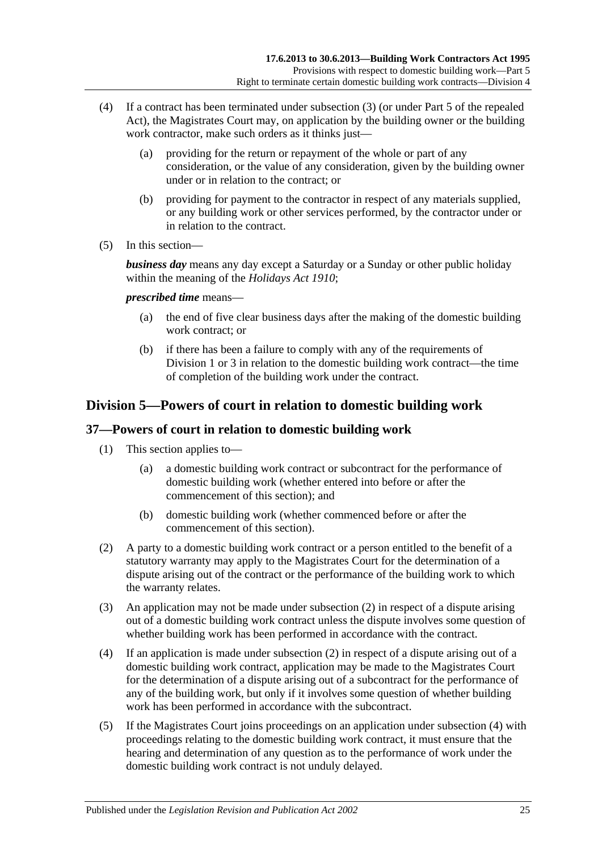- (4) If a contract has been terminated under [subsection](#page-23-4) (3) (or under Part 5 of the repealed Act), the Magistrates Court may, on application by the building owner or the building work contractor, make such orders as it thinks just—
	- (a) providing for the return or repayment of the whole or part of any consideration, or the value of any consideration, given by the building owner under or in relation to the contract; or
	- (b) providing for payment to the contractor in respect of any materials supplied, or any building work or other services performed, by the contractor under or in relation to the contract.
- (5) In this section—

*business day* means any day except a Saturday or a Sunday or other public holiday within the meaning of the *[Holidays Act](http://www.legislation.sa.gov.au/index.aspx?action=legref&type=act&legtitle=Holidays%20Act%201910) 1910*;

*prescribed time* means—

- (a) the end of five clear business days after the making of the domestic building work contract; or
- (b) if there has been a failure to comply with any of the requirements of [Division](#page-17-2) 1 or [3](#page-22-0) in relation to the domestic building work contract—the time of completion of the building work under the contract.

## <span id="page-24-0"></span>**Division 5—Powers of court in relation to domestic building work**

## <span id="page-24-1"></span>**37—Powers of court in relation to domestic building work**

- (1) This section applies to—
	- (a) a domestic building work contract or subcontract for the performance of domestic building work (whether entered into before or after the commencement of this section); and
	- (b) domestic building work (whether commenced before or after the commencement of this section).
- <span id="page-24-2"></span>(2) A party to a domestic building work contract or a person entitled to the benefit of a statutory warranty may apply to the Magistrates Court for the determination of a dispute arising out of the contract or the performance of the building work to which the warranty relates.
- (3) An application may not be made under [subsection](#page-24-2) (2) in respect of a dispute arising out of a domestic building work contract unless the dispute involves some question of whether building work has been performed in accordance with the contract.
- <span id="page-24-3"></span>(4) If an application is made under [subsection](#page-24-2) (2) in respect of a dispute arising out of a domestic building work contract, application may be made to the Magistrates Court for the determination of a dispute arising out of a subcontract for the performance of any of the building work, but only if it involves some question of whether building work has been performed in accordance with the subcontract.
- (5) If the Magistrates Court joins proceedings on an application under [subsection](#page-24-3) (4) with proceedings relating to the domestic building work contract, it must ensure that the hearing and determination of any question as to the performance of work under the domestic building work contract is not unduly delayed.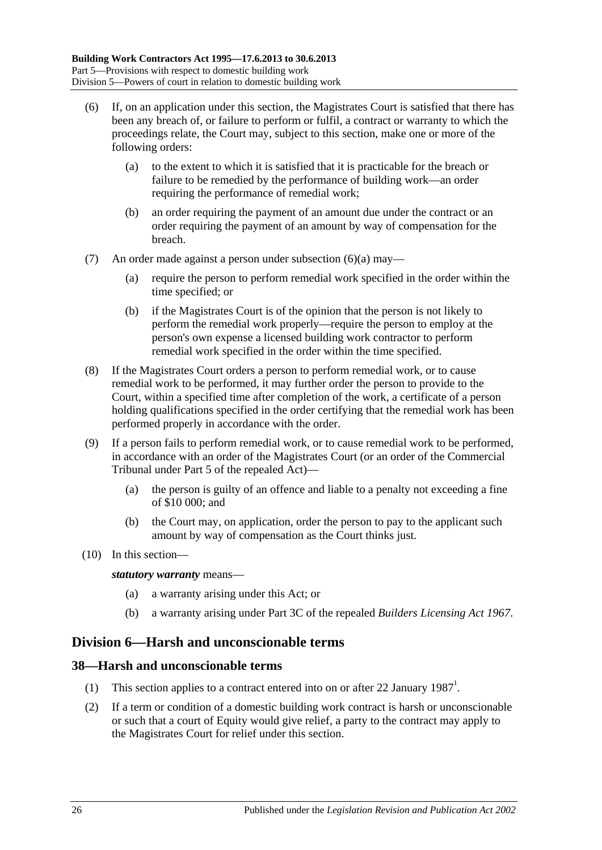- <span id="page-25-2"></span>(6) If, on an application under this section, the Magistrates Court is satisfied that there has been any breach of, or failure to perform or fulfil, a contract or warranty to which the proceedings relate, the Court may, subject to this section, make one or more of the following orders:
	- (a) to the extent to which it is satisfied that it is practicable for the breach or failure to be remedied by the performance of building work—an order requiring the performance of remedial work;
	- (b) an order requiring the payment of an amount due under the contract or an order requiring the payment of an amount by way of compensation for the breach.
- (7) An order made against a person under [subsection](#page-25-2) (6)(a) may—
	- (a) require the person to perform remedial work specified in the order within the time specified; or
	- (b) if the Magistrates Court is of the opinion that the person is not likely to perform the remedial work properly—require the person to employ at the person's own expense a licensed building work contractor to perform remedial work specified in the order within the time specified.
- (8) If the Magistrates Court orders a person to perform remedial work, or to cause remedial work to be performed, it may further order the person to provide to the Court, within a specified time after completion of the work, a certificate of a person holding qualifications specified in the order certifying that the remedial work has been performed properly in accordance with the order.
- (9) If a person fails to perform remedial work, or to cause remedial work to be performed, in accordance with an order of the Magistrates Court (or an order of the Commercial Tribunal under Part 5 of the repealed Act)—
	- (a) the person is guilty of an offence and liable to a penalty not exceeding a fine of \$10 000; and
	- (b) the Court may, on application, order the person to pay to the applicant such amount by way of compensation as the Court thinks just.
- (10) In this section—

*statutory warranty* means—

- (a) a warranty arising under this Act; or
- (b) a warranty arising under Part 3C of the repealed *[Builders Licensing Act](http://www.legislation.sa.gov.au/index.aspx?action=legref&type=act&legtitle=Builders%20Licensing%20Act%201967) 1967*.

## <span id="page-25-0"></span>**Division 6—Harsh and unconscionable terms**

#### <span id="page-25-1"></span>**38—Harsh and unconscionable terms**

- (1) This section applies to a contract entered into on or after 22 January  $1987<sup>1</sup>$ .
- <span id="page-25-3"></span>(2) If a term or condition of a domestic building work contract is harsh or unconscionable or such that a court of Equity would give relief, a party to the contract may apply to the Magistrates Court for relief under this section.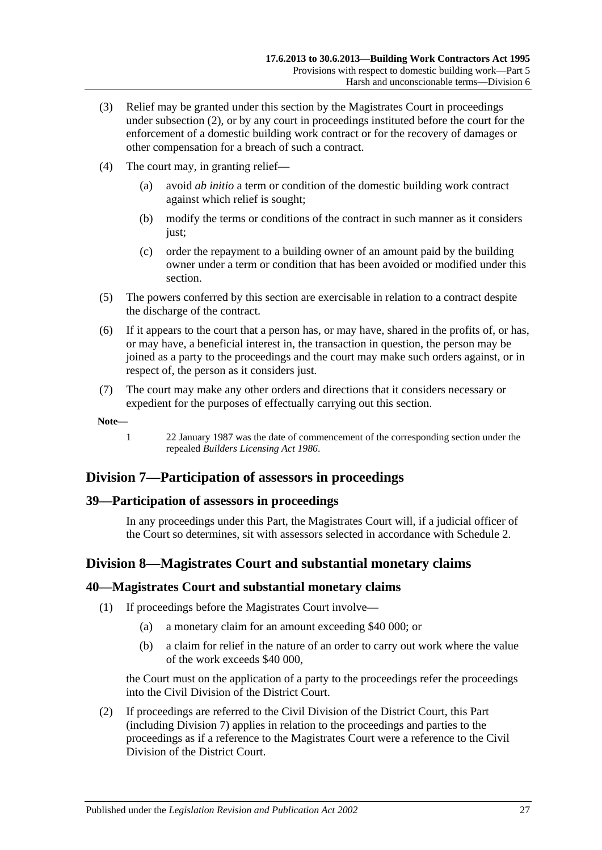- (3) Relief may be granted under this section by the Magistrates Court in proceedings under [subsection](#page-25-3) (2), or by any court in proceedings instituted before the court for the enforcement of a domestic building work contract or for the recovery of damages or other compensation for a breach of such a contract.
- (4) The court may, in granting relief—
	- (a) avoid *ab initio* a term or condition of the domestic building work contract against which relief is sought;
	- (b) modify the terms or conditions of the contract in such manner as it considers just;
	- (c) order the repayment to a building owner of an amount paid by the building owner under a term or condition that has been avoided or modified under this section.
- (5) The powers conferred by this section are exercisable in relation to a contract despite the discharge of the contract.
- (6) If it appears to the court that a person has, or may have, shared in the profits of, or has, or may have, a beneficial interest in, the transaction in question, the person may be joined as a party to the proceedings and the court may make such orders against, or in respect of, the person as it considers just.
- (7) The court may make any other orders and directions that it considers necessary or expedient for the purposes of effectually carrying out this section.

**Note—**

1 22 January 1987 was the date of commencement of the corresponding section under the repealed *[Builders Licensing Act](http://www.legislation.sa.gov.au/index.aspx?action=legref&type=act&legtitle=Builders%20Licensing%20Act%201986) 1986*.

## <span id="page-26-0"></span>**Division 7—Participation of assessors in proceedings**

#### <span id="page-26-1"></span>**39—Participation of assessors in proceedings**

In any proceedings under this Part, the Magistrates Court will, if a judicial officer of the Court so determines, sit with assessors selected in accordance with [Schedule 2.](#page-34-0)

## <span id="page-26-2"></span>**Division 8—Magistrates Court and substantial monetary claims**

#### <span id="page-26-3"></span>**40—Magistrates Court and substantial monetary claims**

- (1) If proceedings before the Magistrates Court involve—
	- (a) a monetary claim for an amount exceeding \$40 000; or
	- (b) a claim for relief in the nature of an order to carry out work where the value of the work exceeds \$40 000,

the Court must on the application of a party to the proceedings refer the proceedings into the Civil Division of the District Court.

(2) If proceedings are referred to the Civil Division of the District Court, this Part (including [Division 7\)](#page-26-0) applies in relation to the proceedings and parties to the proceedings as if a reference to the Magistrates Court were a reference to the Civil Division of the District Court.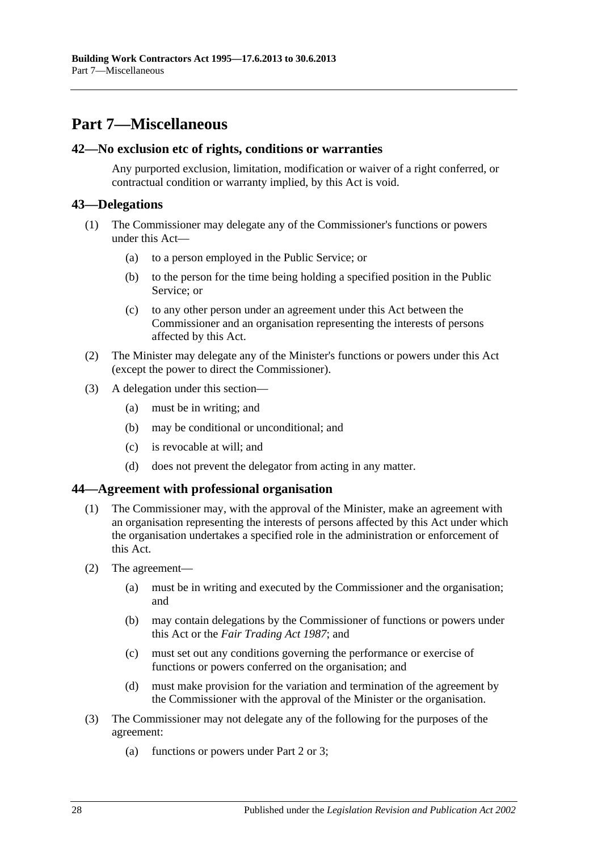## <span id="page-27-0"></span>**Part 7—Miscellaneous**

#### <span id="page-27-1"></span>**42—No exclusion etc of rights, conditions or warranties**

Any purported exclusion, limitation, modification or waiver of a right conferred, or contractual condition or warranty implied, by this Act is void.

### <span id="page-27-2"></span>**43—Delegations**

- (1) The Commissioner may delegate any of the Commissioner's functions or powers under this Act—
	- (a) to a person employed in the Public Service; or
	- (b) to the person for the time being holding a specified position in the Public Service; or
	- (c) to any other person under an agreement under this Act between the Commissioner and an organisation representing the interests of persons affected by this Act.
- (2) The Minister may delegate any of the Minister's functions or powers under this Act (except the power to direct the Commissioner).
- (3) A delegation under this section—
	- (a) must be in writing; and
	- (b) may be conditional or unconditional; and
	- (c) is revocable at will; and
	- (d) does not prevent the delegator from acting in any matter.

#### <span id="page-27-3"></span>**44—Agreement with professional organisation**

- (1) The Commissioner may, with the approval of the Minister, make an agreement with an organisation representing the interests of persons affected by this Act under which the organisation undertakes a specified role in the administration or enforcement of this Act.
- (2) The agreement—
	- (a) must be in writing and executed by the Commissioner and the organisation; and
	- (b) may contain delegations by the Commissioner of functions or powers under this Act or the *[Fair Trading Act](http://www.legislation.sa.gov.au/index.aspx?action=legref&type=act&legtitle=Fair%20Trading%20Act%201987) 1987*; and
	- (c) must set out any conditions governing the performance or exercise of functions or powers conferred on the organisation; and
	- (d) must make provision for the variation and termination of the agreement by the Commissioner with the approval of the Minister or the organisation.
- (3) The Commissioner may not delegate any of the following for the purposes of the agreement:
	- (a) functions or powers under [Part 2](#page-4-2) or [3;](#page-9-0)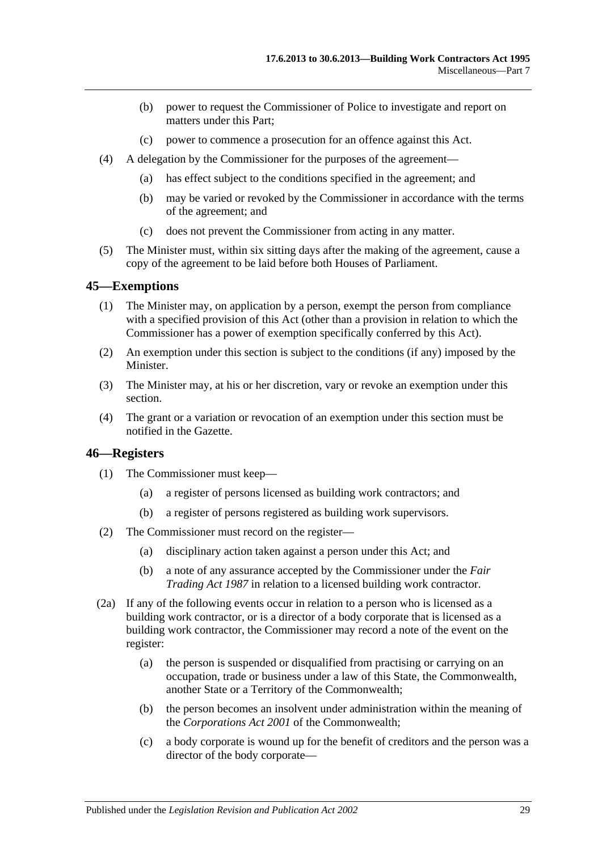- (b) power to request the Commissioner of Police to investigate and report on matters under this Part;
- (c) power to commence a prosecution for an offence against this Act.
- (4) A delegation by the Commissioner for the purposes of the agreement—
	- (a) has effect subject to the conditions specified in the agreement; and
	- (b) may be varied or revoked by the Commissioner in accordance with the terms of the agreement; and
	- (c) does not prevent the Commissioner from acting in any matter.
- (5) The Minister must, within six sitting days after the making of the agreement, cause a copy of the agreement to be laid before both Houses of Parliament.

#### <span id="page-28-0"></span>**45—Exemptions**

- (1) The Minister may, on application by a person, exempt the person from compliance with a specified provision of this Act (other than a provision in relation to which the Commissioner has a power of exemption specifically conferred by this Act).
- (2) An exemption under this section is subject to the conditions (if any) imposed by the Minister.
- (3) The Minister may, at his or her discretion, vary or revoke an exemption under this section.
- (4) The grant or a variation or revocation of an exemption under this section must be notified in the Gazette.

#### <span id="page-28-1"></span>**46—Registers**

- (1) The Commissioner must keep—
	- (a) a register of persons licensed as building work contractors; and
	- (b) a register of persons registered as building work supervisors.
- (2) The Commissioner must record on the register—
	- (a) disciplinary action taken against a person under this Act; and
	- (b) a note of any assurance accepted by the Commissioner under the *[Fair](http://www.legislation.sa.gov.au/index.aspx?action=legref&type=act&legtitle=Fair%20Trading%20Act%201987)  [Trading Act](http://www.legislation.sa.gov.au/index.aspx?action=legref&type=act&legtitle=Fair%20Trading%20Act%201987) 1987* in relation to a licensed building work contractor.
- (2a) If any of the following events occur in relation to a person who is licensed as a building work contractor, or is a director of a body corporate that is licensed as a building work contractor, the Commissioner may record a note of the event on the register:
	- (a) the person is suspended or disqualified from practising or carrying on an occupation, trade or business under a law of this State, the Commonwealth, another State or a Territory of the Commonwealth;
	- (b) the person becomes an insolvent under administration within the meaning of the *Corporations Act 2001* of the Commonwealth;
	- (c) a body corporate is wound up for the benefit of creditors and the person was a director of the body corporate—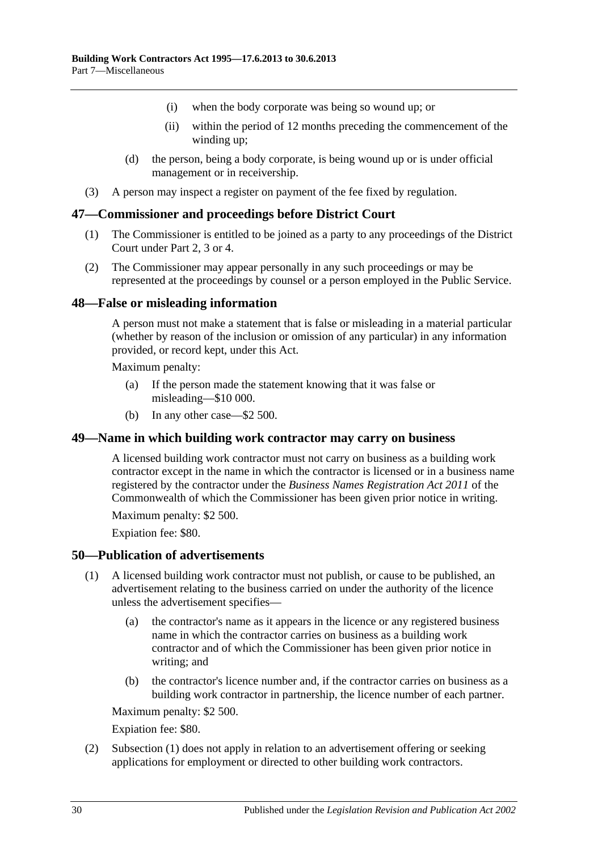- (i) when the body corporate was being so wound up; or
- (ii) within the period of 12 months preceding the commencement of the winding up;
- (d) the person, being a body corporate, is being wound up or is under official management or in receivership.
- (3) A person may inspect a register on payment of the fee fixed by regulation.

#### <span id="page-29-0"></span>**47—Commissioner and proceedings before District Court**

- (1) The Commissioner is entitled to be joined as a party to any proceedings of the District Court under [Part 2,](#page-4-2) [3](#page-9-0) or [4.](#page-14-0)
- (2) The Commissioner may appear personally in any such proceedings or may be represented at the proceedings by counsel or a person employed in the Public Service.

#### <span id="page-29-1"></span>**48—False or misleading information**

A person must not make a statement that is false or misleading in a material particular (whether by reason of the inclusion or omission of any particular) in any information provided, or record kept, under this Act.

Maximum penalty:

- (a) If the person made the statement knowing that it was false or misleading—\$10 000.
- (b) In any other case—\$2 500.

#### <span id="page-29-2"></span>**49—Name in which building work contractor may carry on business**

A licensed building work contractor must not carry on business as a building work contractor except in the name in which the contractor is licensed or in a business name registered by the contractor under the *Business Names Registration Act 2011* of the Commonwealth of which the Commissioner has been given prior notice in writing.

Maximum penalty: \$2 500.

Expiation fee: \$80.

#### <span id="page-29-4"></span><span id="page-29-3"></span>**50—Publication of advertisements**

- (1) A licensed building work contractor must not publish, or cause to be published, an advertisement relating to the business carried on under the authority of the licence unless the advertisement specifies—
	- (a) the contractor's name as it appears in the licence or any registered business name in which the contractor carries on business as a building work contractor and of which the Commissioner has been given prior notice in writing; and
	- (b) the contractor's licence number and, if the contractor carries on business as a building work contractor in partnership, the licence number of each partner.

Maximum penalty: \$2 500.

Expiation fee: \$80.

(2) [Subsection](#page-29-4) (1) does not apply in relation to an advertisement offering or seeking applications for employment or directed to other building work contractors.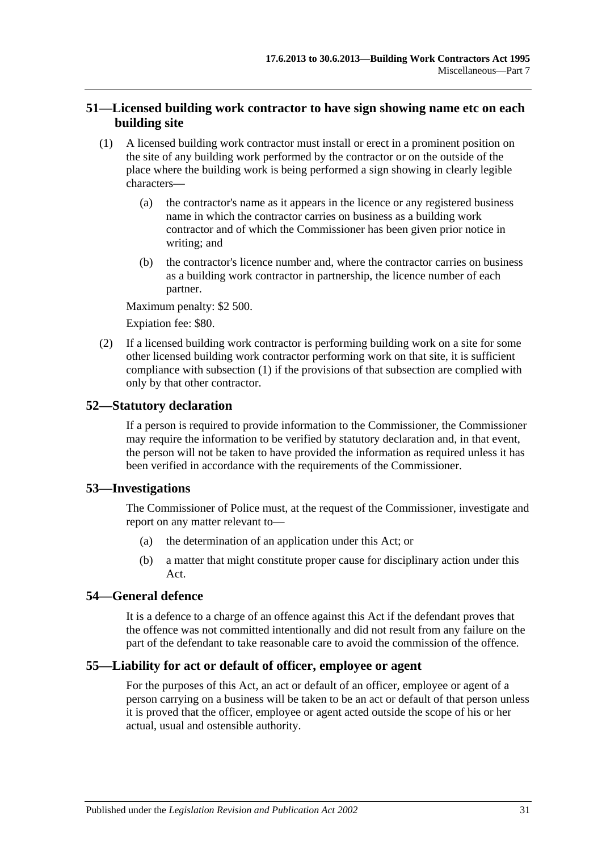### <span id="page-30-0"></span>**51—Licensed building work contractor to have sign showing name etc on each building site**

- <span id="page-30-5"></span>(1) A licensed building work contractor must install or erect in a prominent position on the site of any building work performed by the contractor or on the outside of the place where the building work is being performed a sign showing in clearly legible characters—
	- (a) the contractor's name as it appears in the licence or any registered business name in which the contractor carries on business as a building work contractor and of which the Commissioner has been given prior notice in writing; and
	- (b) the contractor's licence number and, where the contractor carries on business as a building work contractor in partnership, the licence number of each partner.

Maximum penalty: \$2 500.

Expiation fee: \$80.

(2) If a licensed building work contractor is performing building work on a site for some other licensed building work contractor performing work on that site, it is sufficient compliance with [subsection](#page-30-5) (1) if the provisions of that subsection are complied with only by that other contractor.

#### <span id="page-30-1"></span>**52—Statutory declaration**

If a person is required to provide information to the Commissioner, the Commissioner may require the information to be verified by statutory declaration and, in that event, the person will not be taken to have provided the information as required unless it has been verified in accordance with the requirements of the Commissioner.

#### <span id="page-30-2"></span>**53—Investigations**

The Commissioner of Police must, at the request of the Commissioner, investigate and report on any matter relevant to—

- (a) the determination of an application under this Act; or
- (b) a matter that might constitute proper cause for disciplinary action under this Act.

#### <span id="page-30-3"></span>**54—General defence**

It is a defence to a charge of an offence against this Act if the defendant proves that the offence was not committed intentionally and did not result from any failure on the part of the defendant to take reasonable care to avoid the commission of the offence.

#### <span id="page-30-4"></span>**55—Liability for act or default of officer, employee or agent**

For the purposes of this Act, an act or default of an officer, employee or agent of a person carrying on a business will be taken to be an act or default of that person unless it is proved that the officer, employee or agent acted outside the scope of his or her actual, usual and ostensible authority.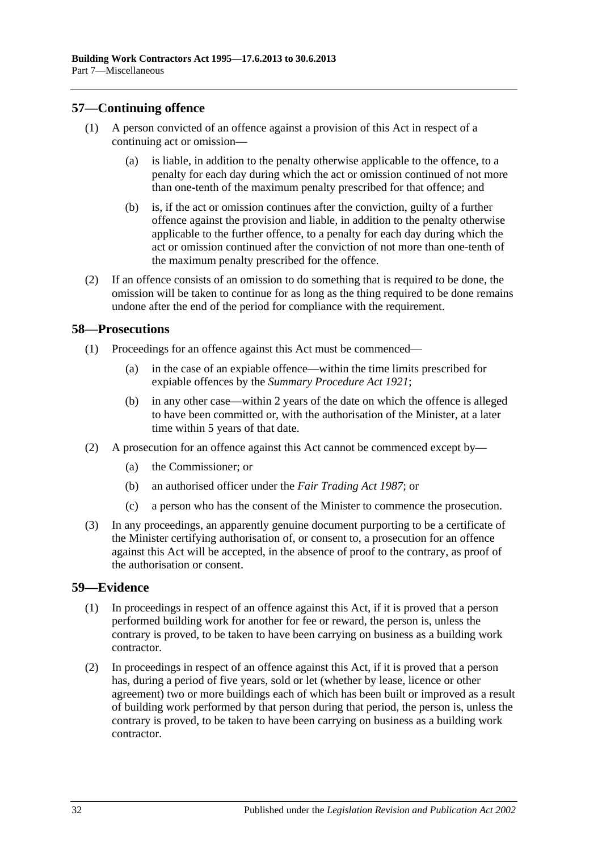#### <span id="page-31-0"></span>**57—Continuing offence**

- (1) A person convicted of an offence against a provision of this Act in respect of a continuing act or omission—
	- (a) is liable, in addition to the penalty otherwise applicable to the offence, to a penalty for each day during which the act or omission continued of not more than one-tenth of the maximum penalty prescribed for that offence; and
	- (b) is, if the act or omission continues after the conviction, guilty of a further offence against the provision and liable, in addition to the penalty otherwise applicable to the further offence, to a penalty for each day during which the act or omission continued after the conviction of not more than one-tenth of the maximum penalty prescribed for the offence.
- (2) If an offence consists of an omission to do something that is required to be done, the omission will be taken to continue for as long as the thing required to be done remains undone after the end of the period for compliance with the requirement.

#### <span id="page-31-1"></span>**58—Prosecutions**

- (1) Proceedings for an offence against this Act must be commenced—
	- (a) in the case of an expiable offence—within the time limits prescribed for expiable offences by the *[Summary Procedure Act](http://www.legislation.sa.gov.au/index.aspx?action=legref&type=act&legtitle=Summary%20Procedure%20Act%201921) 1921*;
	- (b) in any other case—within 2 years of the date on which the offence is alleged to have been committed or, with the authorisation of the Minister, at a later time within 5 years of that date.
- (2) A prosecution for an offence against this Act cannot be commenced except by—
	- (a) the Commissioner; or
	- (b) an authorised officer under the *[Fair Trading Act](http://www.legislation.sa.gov.au/index.aspx?action=legref&type=act&legtitle=Fair%20Trading%20Act%201987) 1987*; or
	- (c) a person who has the consent of the Minister to commence the prosecution.
- (3) In any proceedings, an apparently genuine document purporting to be a certificate of the Minister certifying authorisation of, or consent to, a prosecution for an offence against this Act will be accepted, in the absence of proof to the contrary, as proof of the authorisation or consent.

#### <span id="page-31-2"></span>**59—Evidence**

- (1) In proceedings in respect of an offence against this Act, if it is proved that a person performed building work for another for fee or reward, the person is, unless the contrary is proved, to be taken to have been carrying on business as a building work contractor.
- (2) In proceedings in respect of an offence against this Act, if it is proved that a person has, during a period of five years, sold or let (whether by lease, licence or other agreement) two or more buildings each of which has been built or improved as a result of building work performed by that person during that period, the person is, unless the contrary is proved, to be taken to have been carrying on business as a building work contractor.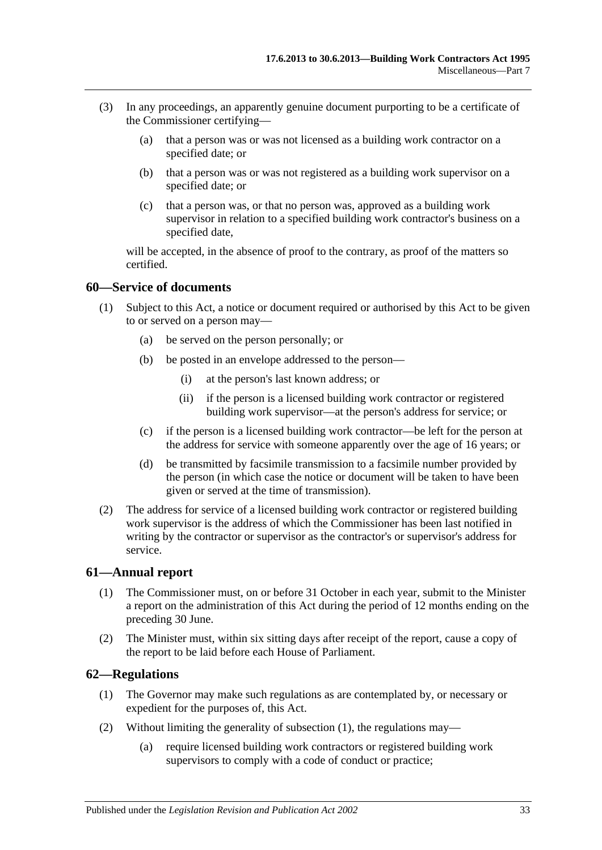- (3) In any proceedings, an apparently genuine document purporting to be a certificate of the Commissioner certifying—
	- (a) that a person was or was not licensed as a building work contractor on a specified date; or
	- (b) that a person was or was not registered as a building work supervisor on a specified date; or
	- (c) that a person was, or that no person was, approved as a building work supervisor in relation to a specified building work contractor's business on a specified date,

will be accepted, in the absence of proof to the contrary, as proof of the matters so certified.

#### <span id="page-32-0"></span>**60—Service of documents**

- (1) Subject to this Act, a notice or document required or authorised by this Act to be given to or served on a person may—
	- (a) be served on the person personally; or
	- (b) be posted in an envelope addressed to the person—
		- (i) at the person's last known address; or
		- (ii) if the person is a licensed building work contractor or registered building work supervisor—at the person's address for service; or
	- (c) if the person is a licensed building work contractor—be left for the person at the address for service with someone apparently over the age of 16 years; or
	- (d) be transmitted by facsimile transmission to a facsimile number provided by the person (in which case the notice or document will be taken to have been given or served at the time of transmission).
- (2) The address for service of a licensed building work contractor or registered building work supervisor is the address of which the Commissioner has been last notified in writing by the contractor or supervisor as the contractor's or supervisor's address for service.

#### <span id="page-32-1"></span>**61—Annual report**

- (1) The Commissioner must, on or before 31 October in each year, submit to the Minister a report on the administration of this Act during the period of 12 months ending on the preceding 30 June.
- (2) The Minister must, within six sitting days after receipt of the report, cause a copy of the report to be laid before each House of Parliament.

#### <span id="page-32-3"></span><span id="page-32-2"></span>**62—Regulations**

- (1) The Governor may make such regulations as are contemplated by, or necessary or expedient for the purposes of, this Act.
- (2) Without limiting the generality of [subsection](#page-32-3) (1), the regulations may—
	- (a) require licensed building work contractors or registered building work supervisors to comply with a code of conduct or practice;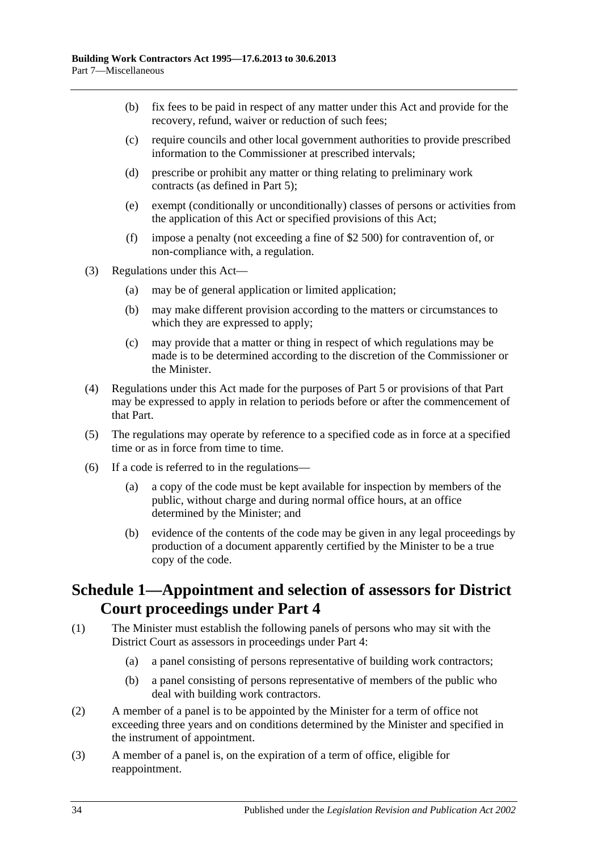- (b) fix fees to be paid in respect of any matter under this Act and provide for the recovery, refund, waiver or reduction of such fees;
- (c) require councils and other local government authorities to provide prescribed information to the Commissioner at prescribed intervals;
- (d) prescribe or prohibit any matter or thing relating to preliminary work contracts (as defined in [Part 5\)](#page-17-1);
- (e) exempt (conditionally or unconditionally) classes of persons or activities from the application of this Act or specified provisions of this Act;
- (f) impose a penalty (not exceeding a fine of \$2 500) for contravention of, or non-compliance with, a regulation.
- (3) Regulations under this Act—
	- (a) may be of general application or limited application;
	- (b) may make different provision according to the matters or circumstances to which they are expressed to apply;
	- (c) may provide that a matter or thing in respect of which regulations may be made is to be determined according to the discretion of the Commissioner or the Minister.
- (4) Regulations under this Act made for the purposes of [Part 5](#page-17-1) or provisions of that Part may be expressed to apply in relation to periods before or after the commencement of that Part.
- (5) The regulations may operate by reference to a specified code as in force at a specified time or as in force from time to time.
- (6) If a code is referred to in the regulations—
	- (a) a copy of the code must be kept available for inspection by members of the public, without charge and during normal office hours, at an office determined by the Minister; and
	- (b) evidence of the contents of the code may be given in any legal proceedings by production of a document apparently certified by the Minister to be a true copy of the code.

## <span id="page-33-0"></span>**Schedule 1—Appointment and selection of assessors for District Court proceedings under [Part](#page-14-0) 4**

- (1) The Minister must establish the following panels of persons who may sit with the District Court as assessors in proceedings under [Part 4:](#page-14-0)
	- (a) a panel consisting of persons representative of building work contractors;
	- (b) a panel consisting of persons representative of members of the public who deal with building work contractors.
- (2) A member of a panel is to be appointed by the Minister for a term of office not exceeding three years and on conditions determined by the Minister and specified in the instrument of appointment.
- (3) A member of a panel is, on the expiration of a term of office, eligible for reappointment.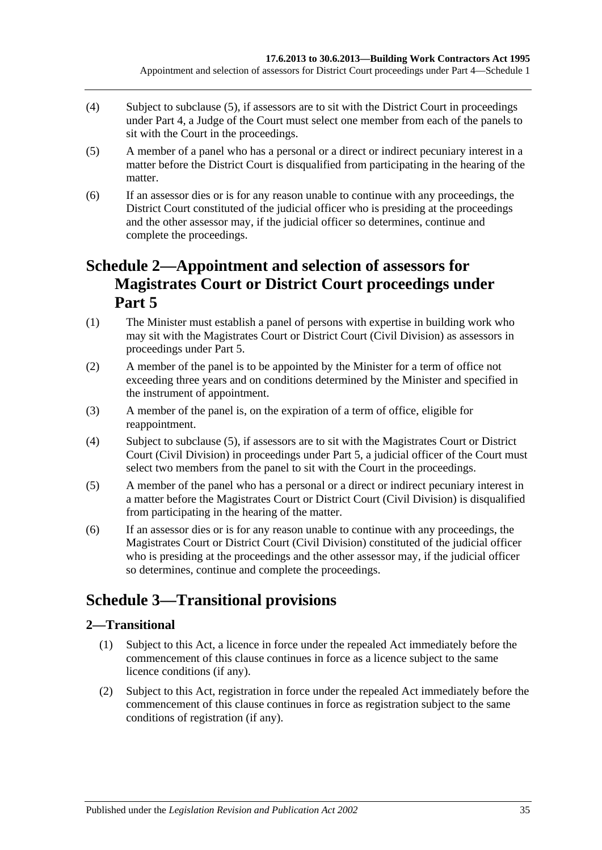- (4) Subject to [subclause](#page-34-3) (5), if assessors are to sit with the District Court in proceedings under [Part 4,](#page-14-0) a Judge of the Court must select one member from each of the panels to sit with the Court in the proceedings.
- <span id="page-34-3"></span>(5) A member of a panel who has a personal or a direct or indirect pecuniary interest in a matter before the District Court is disqualified from participating in the hearing of the matter.
- (6) If an assessor dies or is for any reason unable to continue with any proceedings, the District Court constituted of the judicial officer who is presiding at the proceedings and the other assessor may, if the judicial officer so determines, continue and complete the proceedings.

## <span id="page-34-0"></span>**Schedule 2—Appointment and selection of assessors for Magistrates Court or District Court proceedings under [Part](#page-17-1) 5**

- (1) The Minister must establish a panel of persons with expertise in building work who may sit with the Magistrates Court or District Court (Civil Division) as assessors in proceedings under [Part 5.](#page-17-1)
- (2) A member of the panel is to be appointed by the Minister for a term of office not exceeding three years and on conditions determined by the Minister and specified in the instrument of appointment.
- (3) A member of the panel is, on the expiration of a term of office, eligible for reappointment.
- (4) Subject to [subclause](#page-34-4) (5), if assessors are to sit with the Magistrates Court or District Court (Civil Division) in proceedings under [Part 5,](#page-17-1) a judicial officer of the Court must select two members from the panel to sit with the Court in the proceedings.
- <span id="page-34-4"></span>(5) A member of the panel who has a personal or a direct or indirect pecuniary interest in a matter before the Magistrates Court or District Court (Civil Division) is disqualified from participating in the hearing of the matter.
- (6) If an assessor dies or is for any reason unable to continue with any proceedings, the Magistrates Court or District Court (Civil Division) constituted of the judicial officer who is presiding at the proceedings and the other assessor may, if the judicial officer so determines, continue and complete the proceedings.

## <span id="page-34-1"></span>**Schedule 3—Transitional provisions**

## <span id="page-34-2"></span>**2—Transitional**

- (1) Subject to this Act, a licence in force under the repealed Act immediately before the commencement of this clause continues in force as a licence subject to the same licence conditions (if any).
- (2) Subject to this Act, registration in force under the repealed Act immediately before the commencement of this clause continues in force as registration subject to the same conditions of registration (if any).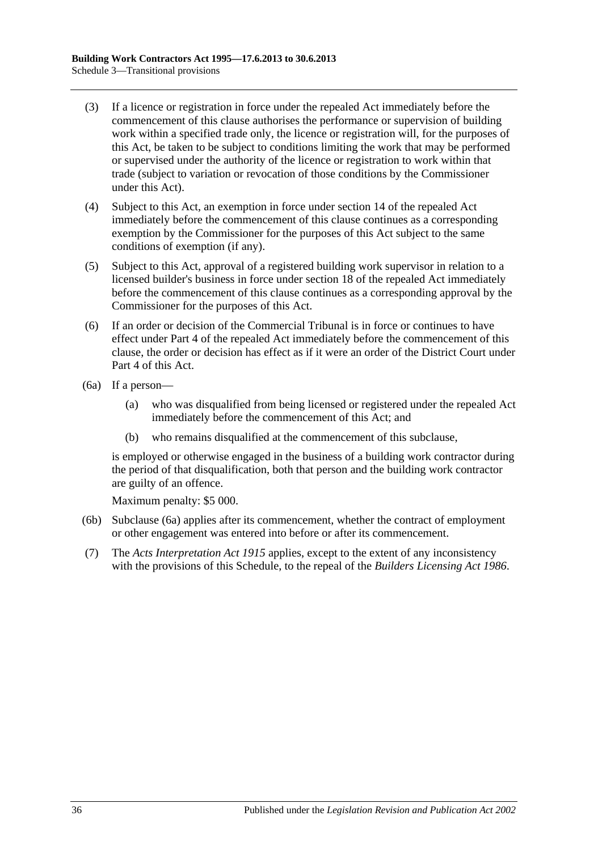- (3) If a licence or registration in force under the repealed Act immediately before the commencement of this clause authorises the performance or supervision of building work within a specified trade only, the licence or registration will, for the purposes of this Act, be taken to be subject to conditions limiting the work that may be performed or supervised under the authority of the licence or registration to work within that trade (subject to variation or revocation of those conditions by the Commissioner under this Act).
- (4) Subject to this Act, an exemption in force under section 14 of the repealed Act immediately before the commencement of this clause continues as a corresponding exemption by the Commissioner for the purposes of this Act subject to the same conditions of exemption (if any).
- (5) Subject to this Act, approval of a registered building work supervisor in relation to a licensed builder's business in force under section 18 of the repealed Act immediately before the commencement of this clause continues as a corresponding approval by the Commissioner for the purposes of this Act.
- (6) If an order or decision of the Commercial Tribunal is in force or continues to have effect under Part 4 of the repealed Act immediately before the commencement of this clause, the order or decision has effect as if it were an order of the District Court under [Part 4](#page-14-0) of this Act.
- <span id="page-35-0"></span>(6a) If a person—
	- (a) who was disqualified from being licensed or registered under the repealed Act immediately before the commencement of this Act; and
	- (b) who remains disqualified at the commencement of this subclause,

is employed or otherwise engaged in the business of a building work contractor during the period of that disqualification, both that person and the building work contractor are guilty of an offence.

Maximum penalty: \$5 000.

- (6b) [Subclause](#page-35-0) (6a) applies after its commencement, whether the contract of employment or other engagement was entered into before or after its commencement.
- (7) The *[Acts Interpretation Act](http://www.legislation.sa.gov.au/index.aspx?action=legref&type=act&legtitle=Acts%20Interpretation%20Act%201915) 1915* applies, except to the extent of any inconsistency with the provisions of this Schedule, to the repeal of the *[Builders Licensing Act](http://www.legislation.sa.gov.au/index.aspx?action=legref&type=act&legtitle=Builders%20Licensing%20Act%201986) 1986*.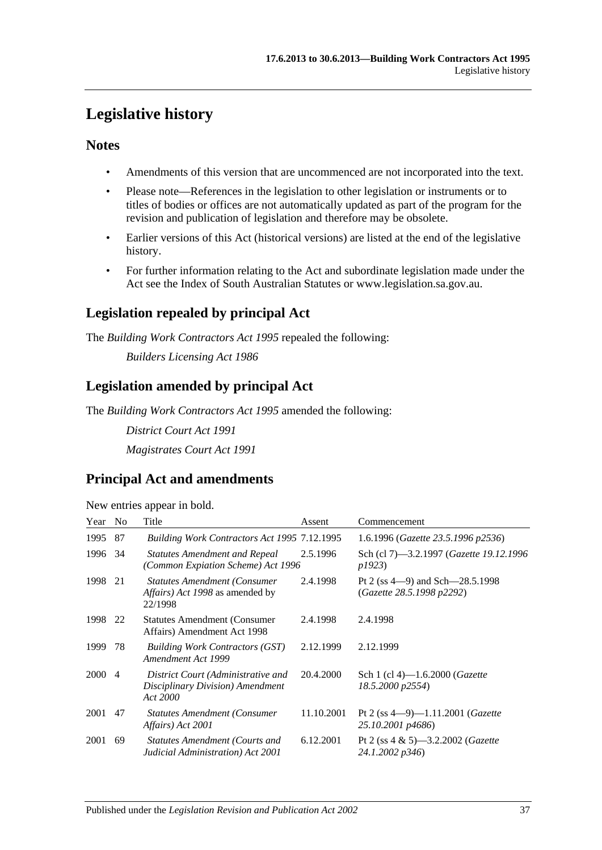## <span id="page-36-0"></span>**Legislative history**

### **Notes**

- Amendments of this version that are uncommenced are not incorporated into the text.
- Please note—References in the legislation to other legislation or instruments or to titles of bodies or offices are not automatically updated as part of the program for the revision and publication of legislation and therefore may be obsolete.
- Earlier versions of this Act (historical versions) are listed at the end of the legislative history.
- For further information relating to the Act and subordinate legislation made under the Act see the Index of South Australian Statutes or www.legislation.sa.gov.au.

## **Legislation repealed by principal Act**

The *Building Work Contractors Act 1995* repealed the following:

*Builders Licensing Act 1986*

## **Legislation amended by principal Act**

The *Building Work Contractors Act 1995* amended the following:

*District Court Act 1991 Magistrates Court Act 1991*

## **Principal Act and amendments**

| New entries appear in bold. |  |  |
|-----------------------------|--|--|

| Year   | N <sub>0</sub> | Title                                                                                            | Assent     | Commencement                                                       |
|--------|----------------|--------------------------------------------------------------------------------------------------|------------|--------------------------------------------------------------------|
| 1995   | 87             | Building Work Contractors Act 1995 7.12.1995                                                     |            | 1.6.1996 (Gazette 23.5.1996 p2536)                                 |
| 1996   | -34            | <b>Statutes Amendment and Repeal</b><br>(Common Expiation Scheme) Act 1996                       | 2.5.1996   | Sch (cl 7)—3.2.1997 ( <i>Gazette 19.12.1996</i><br>p1923)          |
| 1998   | 21             | <b>Statutes Amendment (Consumer</b><br><i>Affairs</i> ) <i>Act 1998</i> as amended by<br>22/1998 | 2.4.1998   | Pt 2 (ss $4-9$ ) and Sch $-28.5.1998$<br>(Gazette 28.5.1998 p2292) |
| 1998   | 22             | <b>Statutes Amendment (Consumer</b> )<br>Affairs) Amendment Act 1998                             | 2.4.1998   | 2.4.1998                                                           |
| 1999   | 78             | <b>Building Work Contractors (GST)</b><br>Amendment Act 1999                                     | 2.12.1999  | 2.12.1999                                                          |
| 2000 4 |                | District Court (Administrative and<br>Disciplinary Division) Amendment<br>Act 2000               | 20.4.2000  | Sch 1 (cl 4)—1.6.2000 ( <i>Gazette</i><br>18.5.2000 p2554)         |
| 2001   | 47             | <b>Statutes Amendment (Consumer)</b><br>Affairs) Act 2001                                        | 11.10.2001 | Pt 2 (ss $4-9$ )-1.11.2001 ( <i>Gazette</i><br>25.10.2001 p4686)   |
| 2001   | 69             | <b>Statutes Amendment (Courts and</b><br>Judicial Administration) Act 2001                       | 6.12.2001  | Pt 2 (ss $4 \& 5$ )—3.2.2002 ( <i>Gazette</i><br>24.1.2002 p346)   |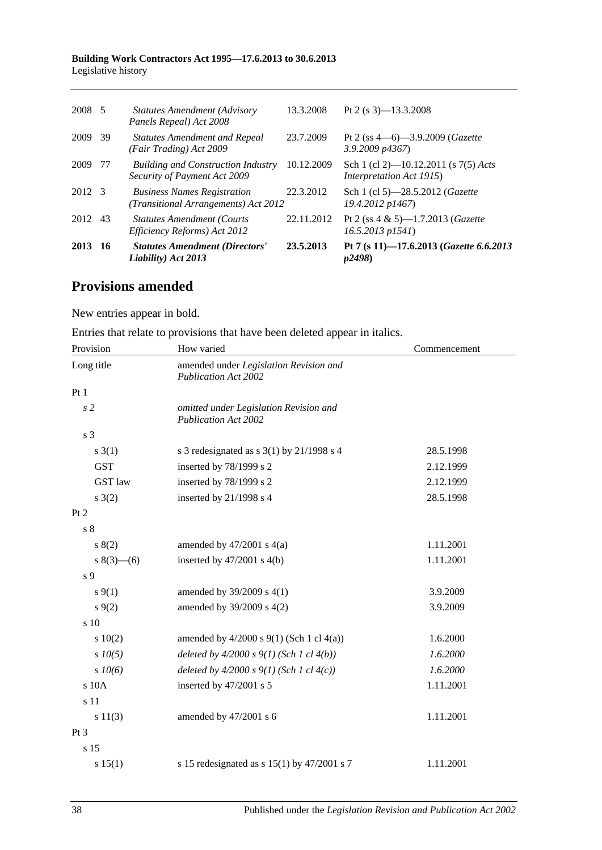#### **Building Work Contractors Act 1995—17.6.2013 to 30.6.2013** Legislative history

| 2013   | 16   | <b>Statutes Amendment (Directors'</b><br>Liability) Act 2013               | 23.5.2013  | Pt 7 (s 11)-17.6.2013 (Gazette 6.6.2013<br>p2498                           |
|--------|------|----------------------------------------------------------------------------|------------|----------------------------------------------------------------------------|
| 2012   | 43   | <b>Statutes Amendment (Courts)</b><br>Efficiency Reforms) Act 2012         | 22.11.2012 | Pt 2 (ss $4 \& 5$ )-1.7.2013 ( <i>Gazette</i><br>$16.5.2013$ $p1541$ )     |
| 2012 3 |      | <b>Business Names Registration</b><br>(Transitional Arrangements) Act 2012 | 22.3.2012  | Sch 1 (cl 5)-28.5.2012 (Gazette<br>19.4.2012 p1467)                        |
| 2009   | -77  | <b>Building and Construction Industry</b><br>Security of Payment Act 2009  | 10.12.2009 | Sch 1 (cl 2)—10.12.2011 (s $7(5)$ Acts<br><i>Interpretation Act 1915</i> ) |
| 2009   | - 39 | <b>Statutes Amendment and Repeal</b><br>(Fair Trading) Act 2009            | 23.7.2009  | Pt 2 (ss $4-6$ )-3.9.2009 ( <i>Gazette</i><br>$3.9.2009$ $p4367$           |
| 2008 5 |      | <b>Statutes Amendment (Advisory</b><br>Panels Repeal) Act 2008             | 13.3.2008  | Pt 2 (s $3$ )-13.3.2008                                                    |
|        |      |                                                                            |            |                                                                            |

## **Provisions amended**

New entries appear in bold.

|  |  | Entries that relate to provisions that have been deleted appear in italics. |  |
|--|--|-----------------------------------------------------------------------------|--|
|  |  |                                                                             |  |

| Provision       | How varied                                                            | Commencement |
|-----------------|-----------------------------------------------------------------------|--------------|
| Long title      | amended under Legislation Revision and<br>Publication Act 2002        |              |
| Pt1             |                                                                       |              |
| s <sub>2</sub>  | omitted under Legislation Revision and<br><b>Publication Act 2002</b> |              |
| s 3             |                                                                       |              |
| s(3(1))         | s 3 redesignated as $s$ 3(1) by 21/1998 s 4                           | 28.5.1998    |
| <b>GST</b>      | inserted by 78/1999 s 2                                               | 2.12.1999    |
| <b>GST</b> law  | inserted by 78/1999 s 2                                               | 2.12.1999    |
| s(2)            | inserted by 21/1998 s 4                                               | 28.5.1998    |
| Pt 2            |                                                                       |              |
| s <sub>8</sub>  |                                                                       |              |
| s(2)            | amended by $47/2001$ s $4(a)$                                         | 1.11.2001    |
| $s(3)$ – (6)    | inserted by $47/2001$ s $4(b)$                                        | 1.11.2001    |
| s 9             |                                                                       |              |
| $s \, 9(1)$     | amended by 39/2009 s 4(1)                                             | 3.9.2009     |
| $s \, 9(2)$     | amended by 39/2009 s 4(2)                                             | 3.9.2009     |
| s 10            |                                                                       |              |
| 10(2)           | amended by $4/2000$ s $9(1)$ (Sch 1 cl $4(a)$ )                       | 1.6.2000     |
| $s$ $10(5)$     | deleted by $4/2000 s 9(1)$ (Sch 1 cl $4(b)$ )                         | 1.6.2000     |
| $s$ 10(6)       | deleted by $4/2000 s 9(1)$ (Sch 1 cl $4(c)$ )                         | 1.6.2000     |
| s 10A           | inserted by 47/2001 s 5                                               | 1.11.2001    |
| s 11            |                                                                       |              |
| s 11(3)         | amended by 47/2001 s 6                                                | 1.11.2001    |
| Pt <sub>3</sub> |                                                                       |              |
| s 15            |                                                                       |              |
| s 15(1)         | s 15 redesignated as s $15(1)$ by $47/2001$ s 7                       | 1.11.2001    |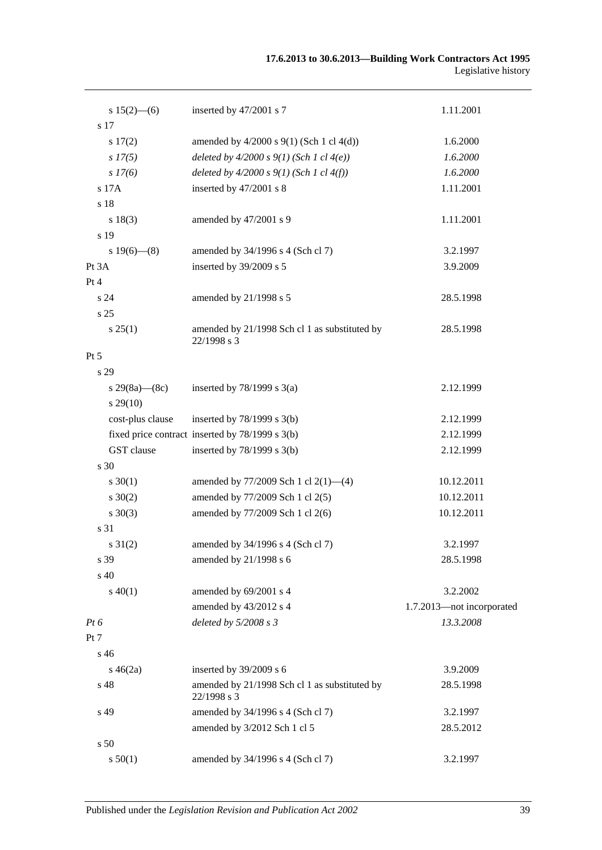| $s 15(2)$ – (6)   | inserted by 47/2001 s 7                                      | 1.11.2001                 |
|-------------------|--------------------------------------------------------------|---------------------------|
| s 17              |                                                              |                           |
| s 17(2)           | amended by $4/2000$ s $9(1)$ (Sch 1 cl $4(d)$ )              | 1.6.2000                  |
| $s\,I7(5)$        | deleted by $4/2000 s 9(1)$ (Sch 1 cl $4(e)$ )                | 1.6.2000                  |
| $s\,I7(6)$        | deleted by $4/2000 s 9(1)$ (Sch 1 cl $4(f)$ )                | 1.6.2000                  |
| s 17A             | inserted by 47/2001 s 8                                      | 1.11.2001                 |
| s 18              |                                                              |                           |
| s 18(3)           | amended by 47/2001 s 9                                       | 1.11.2001                 |
| s 19              |                                                              |                           |
| s $19(6)$ — $(8)$ | amended by 34/1996 s 4 (Sch cl 7)                            | 3.2.1997                  |
| Pt 3A             | inserted by 39/2009 s 5                                      | 3.9.2009                  |
| Pt 4              |                                                              |                           |
| s24               | amended by 21/1998 s 5                                       | 28.5.1998                 |
| s 25              |                                                              |                           |
| s 25(1)           | amended by 21/1998 Sch cl 1 as substituted by<br>22/1998 s 3 | 28.5.1998                 |
| $Pt\,5$           |                                                              |                           |
| s 29              |                                                              |                           |
| s 29(8a)—(8c)     | inserted by $78/1999$ s $3(a)$                               | 2.12.1999                 |
| $s\,29(10)$       |                                                              |                           |
| cost-plus clause  | inserted by $78/1999$ s $3(b)$                               | 2.12.1999                 |
|                   | fixed price contract inserted by 78/1999 s 3(b)              | 2.12.1999                 |
| GST clause        | inserted by 78/1999 s 3(b)                                   | 2.12.1999                 |
| s 30              |                                                              |                           |
| $s \ 30(1)$       | amended by 77/2009 Sch 1 cl 2(1)-(4)                         | 10.12.2011                |
| $s \ 30(2)$       | amended by 77/2009 Sch 1 cl 2(5)                             | 10.12.2011                |
| $s \ 30(3)$       | amended by 77/2009 Sch 1 cl 2(6)                             | 10.12.2011                |
| s 31              |                                                              |                           |
| $s \, 31(2)$      | amended by 34/1996 s 4 (Sch cl 7)                            | 3.2.1997                  |
| s 39              | amended by 21/1998 s 6                                       | 28.5.1998                 |
| s 40              |                                                              |                           |
| $s\ 40(1)$        | amended by 69/2001 s 4                                       | 3.2.2002                  |
|                   | amended by 43/2012 s 4                                       | 1.7.2013-not incorporated |
| Pt 6              | deleted by 5/2008 s 3                                        | 13.3.2008                 |
| Pt 7              |                                                              |                           |
| s 46              |                                                              |                           |
| $s\,46(2a)$       | inserted by 39/2009 s 6                                      | 3.9.2009                  |
| s 48              | amended by 21/1998 Sch cl 1 as substituted by                | 28.5.1998                 |
|                   | 22/1998 s 3                                                  |                           |
| s 49              | amended by 34/1996 s 4 (Sch cl 7)                            | 3.2.1997                  |
|                   | amended by 3/2012 Sch 1 cl 5                                 | 28.5.2012                 |
| s 50              |                                                              |                           |
| s 50(1)           | amended by 34/1996 s 4 (Sch cl 7)                            | 3.2.1997                  |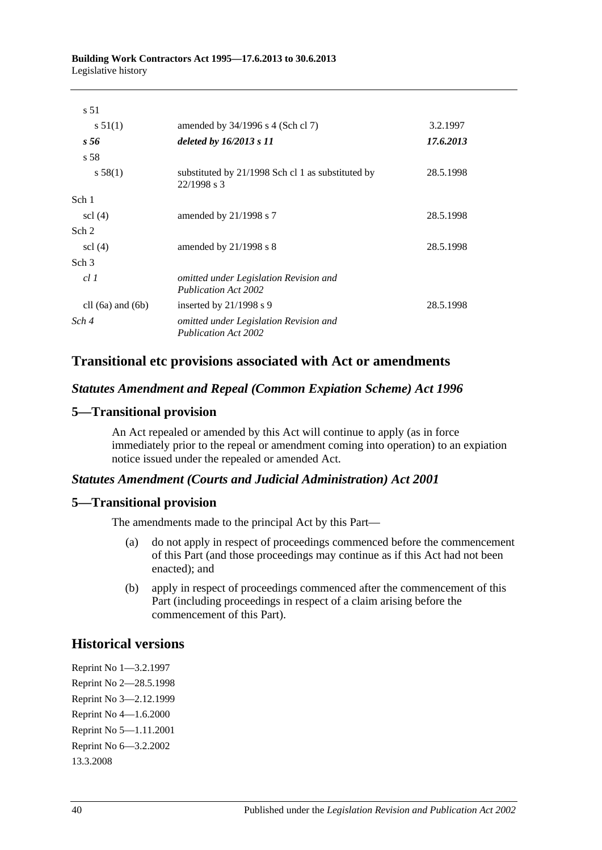| s 51                  |                                                                       |           |
|-----------------------|-----------------------------------------------------------------------|-----------|
| s 51(1)               | amended by $34/1996$ s 4 (Sch cl 7)                                   | 3.2.1997  |
| s 56                  | deleted by $16/2013 s 11$                                             | 17.6.2013 |
| s 58                  |                                                                       |           |
| s 58(1)               | substituted by 21/1998 Sch cl 1 as substituted by<br>$22/1998$ s 3    | 28.5.1998 |
| Sch 1                 |                                                                       |           |
| $\text{cl}(4)$        | amended by $21/1998$ s 7                                              | 28.5.1998 |
| Sch 2                 |                                                                       |           |
| $\text{sc}$ (4)       | amended by $21/1998$ s 8                                              | 28.5.1998 |
| Sch <sub>3</sub>      |                                                                       |           |
| cl1                   | omitted under Legislation Revision and<br>Publication Act 2002        |           |
| cll $(6a)$ and $(6b)$ | inserted by $21/1998$ s 9                                             | 28.5.1998 |
| Sch 4                 | omitted under Legislation Revision and<br><b>Publication Act 2002</b> |           |

## **Transitional etc provisions associated with Act or amendments**

#### *Statutes Amendment and Repeal (Common Expiation Scheme) Act 1996*

#### **5—Transitional provision**

An Act repealed or amended by this Act will continue to apply (as in force immediately prior to the repeal or amendment coming into operation) to an expiation notice issued under the repealed or amended Act.

#### *Statutes Amendment (Courts and Judicial Administration) Act 2001*

#### **5—Transitional provision**

The amendments made to the principal Act by this Part—

- (a) do not apply in respect of proceedings commenced before the commencement of this Part (and those proceedings may continue as if this Act had not been enacted); and
- (b) apply in respect of proceedings commenced after the commencement of this Part (including proceedings in respect of a claim arising before the commencement of this Part).

## **Historical versions**

Reprint No 1—3.2.1997 Reprint No 2—28.5.1998 Reprint No 3—2.12.1999 Reprint No 4—1.6.2000 Reprint No 5—1.11.2001 Reprint No 6—3.2.2002 13.3.2008